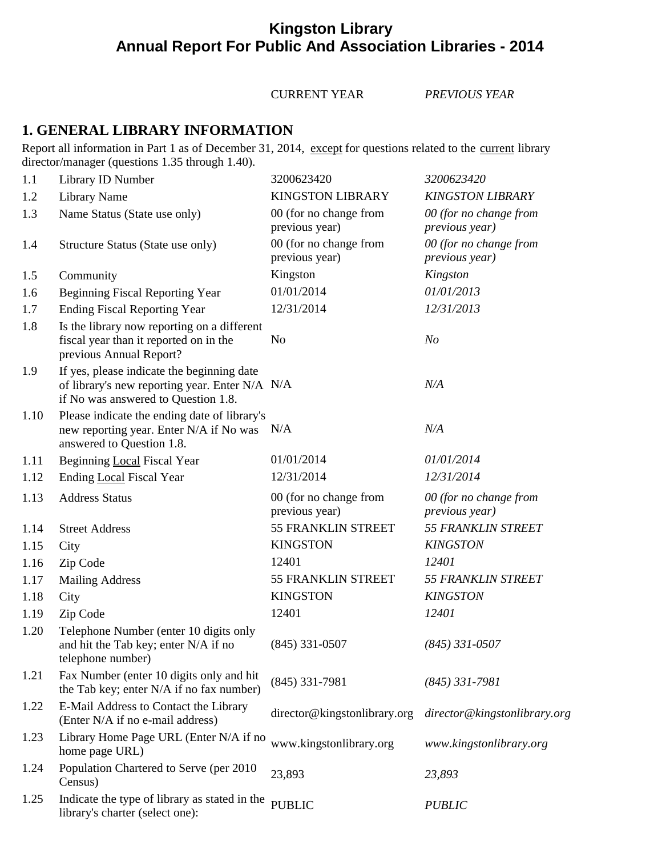# **Kingston Library Annual Report For Public And Association Libraries - 2014**

#### CURRENT YEAR *PREVIOUS YEAR*

## **1. GENERAL LIBRARY INFORMATION**

Report all information in Part 1 as of December 31, 2014, except for questions related to the current library director/manager (questions 1.35 through 1.40).

| 1.1  | Library ID Number                                                                                                                   | 3200623420                               | 3200623420                               |
|------|-------------------------------------------------------------------------------------------------------------------------------------|------------------------------------------|------------------------------------------|
| 1.2  | <b>Library Name</b>                                                                                                                 | <b>KINGSTON LIBRARY</b>                  | <b>KINGSTON LIBRARY</b>                  |
| 1.3  | Name Status (State use only)                                                                                                        | 00 (for no change from<br>previous year) | 00 (for no change from<br>previous year) |
| 1.4  | Structure Status (State use only)                                                                                                   | 00 (for no change from<br>previous year) | 00 (for no change from<br>previous year) |
| 1.5  | Community                                                                                                                           | Kingston                                 | Kingston                                 |
| 1.6  | <b>Beginning Fiscal Reporting Year</b>                                                                                              | 01/01/2014                               | 01/01/2013                               |
| 1.7  | <b>Ending Fiscal Reporting Year</b>                                                                                                 | 12/31/2014                               | 12/31/2013                               |
| 1.8  | Is the library now reporting on a different<br>fiscal year than it reported on in the<br>previous Annual Report?                    | N <sub>o</sub>                           | N <sub>o</sub>                           |
| 1.9  | If yes, please indicate the beginning date<br>of library's new reporting year. Enter N/A N/A<br>if No was answered to Question 1.8. |                                          | N/A                                      |
| 1.10 | Please indicate the ending date of library's<br>new reporting year. Enter N/A if No was N/A<br>answered to Question 1.8.            |                                          | N/A                                      |
| 1.11 | Beginning Local Fiscal Year                                                                                                         | 01/01/2014                               | 01/01/2014                               |
| 1.12 | Ending Local Fiscal Year                                                                                                            | 12/31/2014                               | 12/31/2014                               |
| 1.13 | <b>Address Status</b>                                                                                                               | 00 (for no change from<br>previous year) | 00 (for no change from<br>previous year) |
| 1.14 | <b>Street Address</b>                                                                                                               | 55 FRANKLIN STREET                       | <b>55 FRANKLIN STREET</b>                |
| 1.15 | City                                                                                                                                | <b>KINGSTON</b>                          | <b>KINGSTON</b>                          |
| 1.16 | Zip Code                                                                                                                            | 12401                                    | 12401                                    |
| 1.17 | <b>Mailing Address</b>                                                                                                              | 55 FRANKLIN STREET                       | 55 FRANKLIN STREET                       |
| 1.18 | City                                                                                                                                | <b>KINGSTON</b>                          | <b>KINGSTON</b>                          |
| 1.19 | Zip Code                                                                                                                            | 12401                                    | 12401                                    |
| 1.20 | Telephone Number (enter 10 digits only<br>and hit the Tab key; enter N/A if no<br>telephone number)                                 | $(845)$ 331-0507                         | $(845)$ 331-0507                         |
| 1.21 | Fax Number (enter 10 digits only and hit<br>the Tab key; enter N/A if no fax number)                                                | $(845)$ 331-7981                         | $(845)$ 331-7981                         |
| 1.22 | E-Mail Address to Contact the Library<br>(Enter N/A if no e-mail address)                                                           | director@kingstonlibrary.org             | director@kingstonlibrary.org             |
| 1.23 | Library Home Page URL (Enter N/A if no<br>home page URL)                                                                            | www.kingstonlibrary.org                  | www.kingstonlibrary.org                  |
| 1.24 | Population Chartered to Serve (per 2010<br>Census)                                                                                  | 23,893                                   | 23,893                                   |
| 1.25 | Indicate the type of library as stated in the<br>library's charter (select one):                                                    | <b>PUBLIC</b>                            | <b>PUBLIC</b>                            |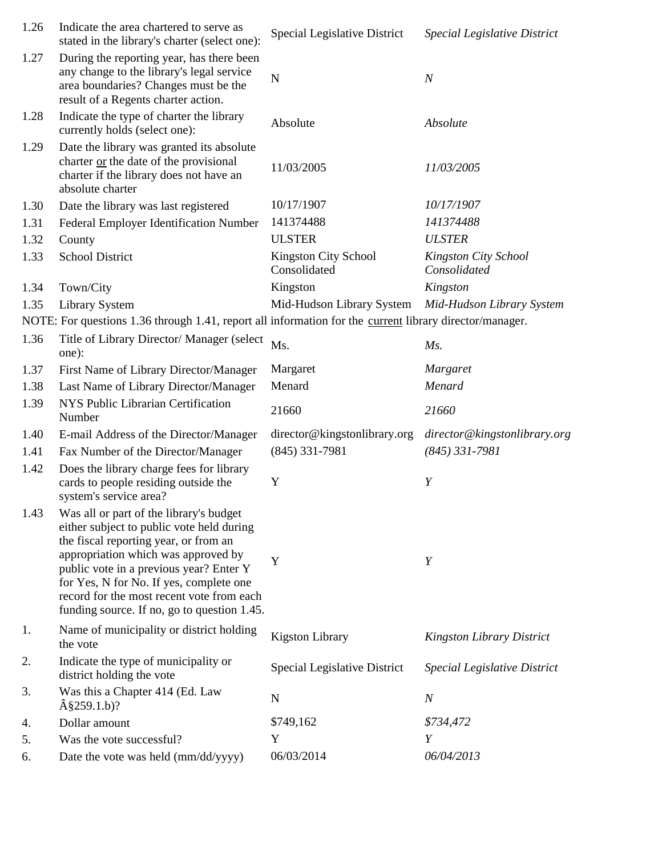| 1.26 | Indicate the area chartered to serve as<br>stated in the library's charter (select one):                                                                                                                                                                                                                                                               | <b>Special Legislative District</b>         | <b>Special Legislative District</b>  |
|------|--------------------------------------------------------------------------------------------------------------------------------------------------------------------------------------------------------------------------------------------------------------------------------------------------------------------------------------------------------|---------------------------------------------|--------------------------------------|
| 1.27 | During the reporting year, has there been<br>any change to the library's legal service<br>area boundaries? Changes must be the<br>result of a Regents charter action.                                                                                                                                                                                  | $\mathbf N$                                 | $\boldsymbol{N}$                     |
| 1.28 | Indicate the type of charter the library<br>currently holds (select one):                                                                                                                                                                                                                                                                              | Absolute                                    | Absolute                             |
| 1.29 | Date the library was granted its absolute<br>charter or the date of the provisional<br>charter if the library does not have an<br>absolute charter                                                                                                                                                                                                     | 11/03/2005                                  | 11/03/2005                           |
| 1.30 | Date the library was last registered                                                                                                                                                                                                                                                                                                                   | 10/17/1907                                  | 10/17/1907                           |
| 1.31 | Federal Employer Identification Number                                                                                                                                                                                                                                                                                                                 | 141374488                                   | 141374488                            |
| 1.32 | County                                                                                                                                                                                                                                                                                                                                                 | <b>ULSTER</b>                               | <b>ULSTER</b>                        |
| 1.33 | <b>School District</b>                                                                                                                                                                                                                                                                                                                                 | <b>Kingston City School</b><br>Consolidated | Kingston City School<br>Consolidated |
| 1.34 | Town/City                                                                                                                                                                                                                                                                                                                                              | Kingston                                    | Kingston                             |
| 1.35 | Library System                                                                                                                                                                                                                                                                                                                                         | Mid-Hudson Library System                   | Mid-Hudson Library System            |
|      | NOTE: For questions 1.36 through 1.41, report all information for the current library director/manager.                                                                                                                                                                                                                                                |                                             |                                      |
| 1.36 | Title of Library Director/ Manager (select<br>one):                                                                                                                                                                                                                                                                                                    | Ms.                                         | $Ms$ .                               |
| 1.37 | First Name of Library Director/Manager                                                                                                                                                                                                                                                                                                                 | Margaret                                    | Margaret                             |
| 1.38 | Last Name of Library Director/Manager                                                                                                                                                                                                                                                                                                                  | Menard                                      | Menard                               |
| 1.39 | NYS Public Librarian Certification<br>Number                                                                                                                                                                                                                                                                                                           | 21660                                       | 21660                                |
| 1.40 | E-mail Address of the Director/Manager                                                                                                                                                                                                                                                                                                                 | director@kingstonlibrary.org                | director@kingstonlibrary.org         |
| 1.41 | Fax Number of the Director/Manager                                                                                                                                                                                                                                                                                                                     | $(845)$ 331-7981                            | $(845)$ 331-7981                     |
| 1.42 | Does the library charge fees for library<br>cards to people residing outside the<br>system's service area?                                                                                                                                                                                                                                             | Y                                           | Y                                    |
| 1.43 | Was all or part of the library's budget<br>either subject to public vote held during<br>the fiscal reporting year, or from an<br>appropriation which was approved by<br>public vote in a previous year? Enter Y<br>for Yes, N for No. If yes, complete one<br>record for the most recent vote from each<br>funding source. If no, go to question 1.45. | Y                                           | Y                                    |
| 1.   | Name of municipality or district holding<br>the vote                                                                                                                                                                                                                                                                                                   | <b>Kigston Library</b>                      | <b>Kingston Library District</b>     |
| 2.   | Indicate the type of municipality or<br>district holding the vote                                                                                                                                                                                                                                                                                      | Special Legislative District                | Special Legislative District         |
| 3.   | Was this a Chapter 414 (Ed. Law<br>$\hat{A}$ §259.1.b)?                                                                                                                                                                                                                                                                                                | $\mathbf N$                                 | $\boldsymbol{N}$                     |
| 4.   | Dollar amount                                                                                                                                                                                                                                                                                                                                          | \$749,162                                   | \$734,472                            |
| 5.   | Was the vote successful?                                                                                                                                                                                                                                                                                                                               | Y                                           | Y                                    |
| 6.   | Date the vote was held (mm/dd/yyyy)                                                                                                                                                                                                                                                                                                                    | 06/03/2014                                  | 06/04/2013                           |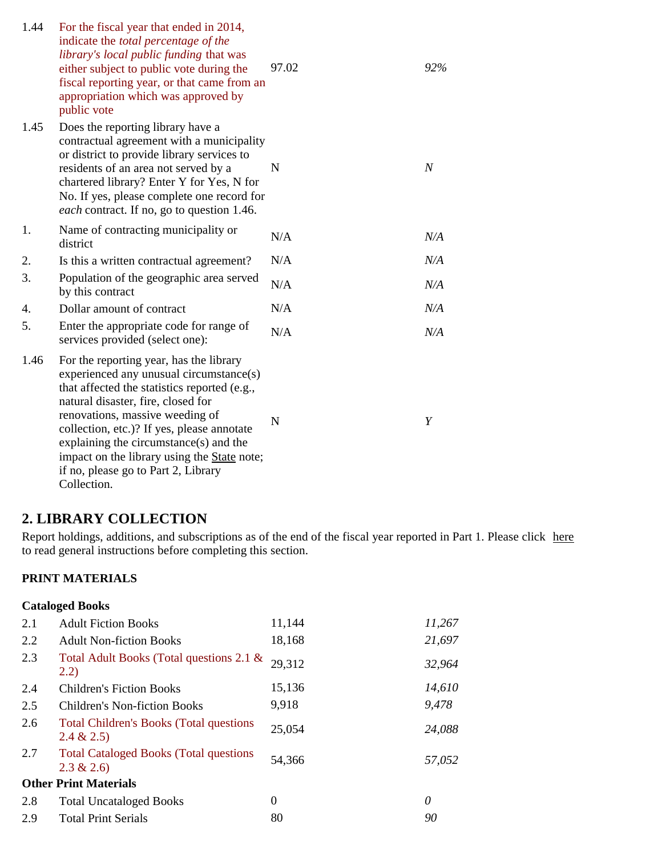| 1.44 | For the fiscal year that ended in 2014,<br>indicate the <i>total percentage</i> of the<br>library's local public funding that was<br>either subject to public vote during the<br>fiscal reporting year, or that came from an<br>appropriation which was approved by<br>public vote                                                                                                                              | 97.02 | 92%            |
|------|-----------------------------------------------------------------------------------------------------------------------------------------------------------------------------------------------------------------------------------------------------------------------------------------------------------------------------------------------------------------------------------------------------------------|-------|----------------|
| 1.45 | Does the reporting library have a<br>contractual agreement with a municipality<br>or district to provide library services to<br>residents of an area not served by a<br>chartered library? Enter Y for Yes, N for<br>No. If yes, please complete one record for<br><i>each</i> contract. If no, go to question 1.46.                                                                                            | N     | $\overline{N}$ |
| 1.   | Name of contracting municipality or<br>district                                                                                                                                                                                                                                                                                                                                                                 | N/A   | N/A            |
| 2.   | Is this a written contractual agreement?                                                                                                                                                                                                                                                                                                                                                                        | N/A   | N/A            |
| 3.   | Population of the geographic area served<br>by this contract                                                                                                                                                                                                                                                                                                                                                    | N/A   | N/A            |
| 4.   | Dollar amount of contract                                                                                                                                                                                                                                                                                                                                                                                       | N/A   | N/A            |
| 5.   | Enter the appropriate code for range of<br>services provided (select one):                                                                                                                                                                                                                                                                                                                                      | N/A   | N/A            |
| 1.46 | For the reporting year, has the library<br>experienced any unusual circumstance(s)<br>that affected the statistics reported (e.g.,<br>natural disaster, fire, closed for<br>renovations, massive weeding of<br>collection, etc.)? If yes, please annotate<br>explaining the circumstance(s) and the<br>impact on the library using the <b>State</b> note;<br>if no, please go to Part 2, Library<br>Collection. | N     | Y              |

# **2. LIBRARY COLLECTION**

Report holdings, additions, and subscriptions as of the end of the fiscal year reported in Part 1. Please click here to read general instructions before completing this section.

#### **PRINT MATERIALS**

#### **Cataloged Books**

| 2.1 | <b>Adult Fiction Books</b>                                     | 11,144   | 11,267 |
|-----|----------------------------------------------------------------|----------|--------|
| 2.2 | <b>Adult Non-fiction Books</b>                                 | 18,168   | 21,697 |
| 2.3 | Total Adult Books (Total questions 2.1 &<br>(2.2)              | 29,312   | 32,964 |
| 2.4 | <b>Children's Fiction Books</b>                                | 15,136   | 14,610 |
| 2.5 | <b>Children's Non-fiction Books</b>                            | 9,918    | 9,478  |
| 2.6 | <b>Total Children's Books (Total questions)</b><br>2.4 & 2.5   | 25,054   | 24,088 |
| 2.7 | <b>Total Cataloged Books (Total questions)</b><br>$2.3 \& 2.6$ | 54,366   | 57,052 |
|     | <b>Other Print Materials</b>                                   |          |        |
| 2.8 | <b>Total Uncataloged Books</b>                                 | $\theta$ | 0      |
| 2.9 | <b>Total Print Serials</b>                                     | 80       | 90     |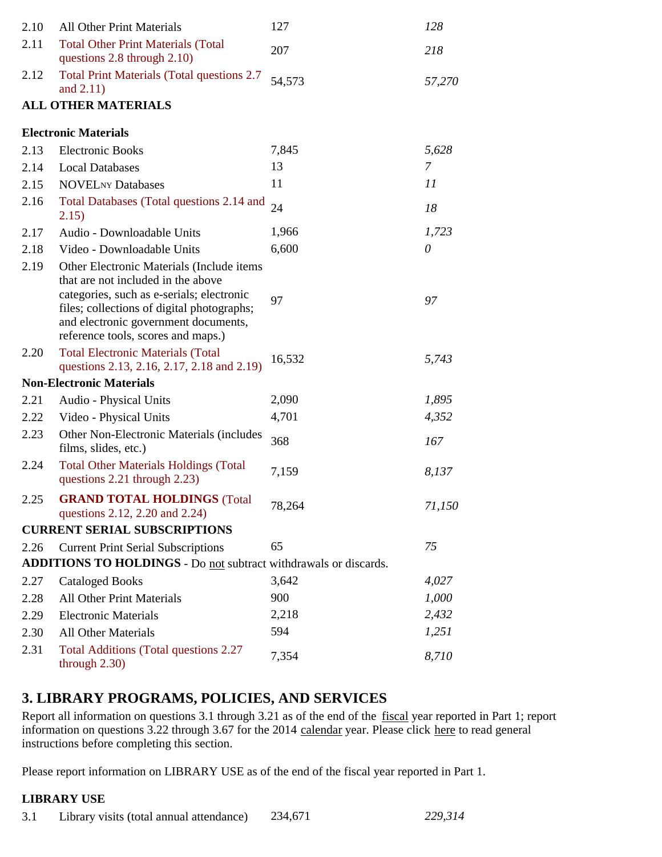| 2.10 | <b>All Other Print Materials</b>                                                                                                                                                                                                                          | 127    | 128      |
|------|-----------------------------------------------------------------------------------------------------------------------------------------------------------------------------------------------------------------------------------------------------------|--------|----------|
| 2.11 | <b>Total Other Print Materials (Total</b><br>questions 2.8 through 2.10)                                                                                                                                                                                  | 207    | 218      |
| 2.12 | <b>Total Print Materials (Total questions 2.7</b><br>and $2.11$ )                                                                                                                                                                                         | 54,573 | 57,270   |
|      | <b>ALL OTHER MATERIALS</b>                                                                                                                                                                                                                                |        |          |
|      | <b>Electronic Materials</b>                                                                                                                                                                                                                               |        |          |
| 2.13 | <b>Electronic Books</b>                                                                                                                                                                                                                                   | 7,845  | 5,628    |
| 2.14 | <b>Local Databases</b>                                                                                                                                                                                                                                    | 13     | 7        |
| 2.15 | <b>NOVELNY Databases</b>                                                                                                                                                                                                                                  | 11     | 11       |
| 2.16 | Total Databases (Total questions 2.14 and<br>2.15)                                                                                                                                                                                                        | 24     | 18       |
| 2.17 | Audio - Downloadable Units                                                                                                                                                                                                                                | 1,966  | 1,723    |
| 2.18 | Video - Downloadable Units                                                                                                                                                                                                                                | 6,600  | $\theta$ |
| 2.19 | Other Electronic Materials (Include items)<br>that are not included in the above<br>categories, such as e-serials; electronic<br>files; collections of digital photographs;<br>and electronic government documents,<br>reference tools, scores and maps.) | 97     | 97       |
| 2.20 | <b>Total Electronic Materials (Total</b><br>questions 2.13, 2.16, 2.17, 2.18 and 2.19)                                                                                                                                                                    | 16,532 | 5,743    |
|      | <b>Non-Electronic Materials</b>                                                                                                                                                                                                                           |        |          |
| 2.21 | Audio - Physical Units                                                                                                                                                                                                                                    | 2,090  | 1,895    |
| 2.22 | Video - Physical Units                                                                                                                                                                                                                                    | 4,701  | 4,352    |
| 2.23 | Other Non-Electronic Materials (includes<br>films, slides, etc.)                                                                                                                                                                                          | 368    | 167      |
| 2.24 | <b>Total Other Materials Holdings (Total</b><br>questions 2.21 through 2.23)                                                                                                                                                                              | 7,159  | 8,137    |
| 2.25 | <b>GRAND TOTAL HOLDINGS (Total</b><br>questions 2.12, 2.20 and 2.24)                                                                                                                                                                                      | 78,264 | 71,150   |
|      | <b>CURRENT SERIAL SUBSCRIPTIONS</b>                                                                                                                                                                                                                       |        |          |
| 2.26 | <b>Current Print Serial Subscriptions</b>                                                                                                                                                                                                                 | 65     | 75       |
|      | ADDITIONS TO HOLDINGS - Do not subtract withdrawals or discards.                                                                                                                                                                                          |        |          |
| 2.27 | <b>Cataloged Books</b>                                                                                                                                                                                                                                    | 3,642  | 4,027    |
| 2.28 | <b>All Other Print Materials</b>                                                                                                                                                                                                                          | 900    | 1,000    |
| 2.29 | <b>Electronic Materials</b>                                                                                                                                                                                                                               | 2,218  | 2,432    |
| 2.30 | <b>All Other Materials</b>                                                                                                                                                                                                                                | 594    | 1,251    |
| 2.31 | <b>Total Additions (Total questions 2.27)</b><br>through $2.30$ )                                                                                                                                                                                         | 7,354  | 8,710    |
|      |                                                                                                                                                                                                                                                           |        |          |

# **3. LIBRARY PROGRAMS, POLICIES, AND SERVICES**

Report all information on questions 3.1 through 3.21 as of the end of the fiscal year reported in Part 1; report information on questions 3.22 through 3.67 for the 2014 calendar year. Please click here to read general instructions before completing this section.

Please report information on LIBRARY USE as of the end of the fiscal year reported in Part 1.

#### **LIBRARY USE**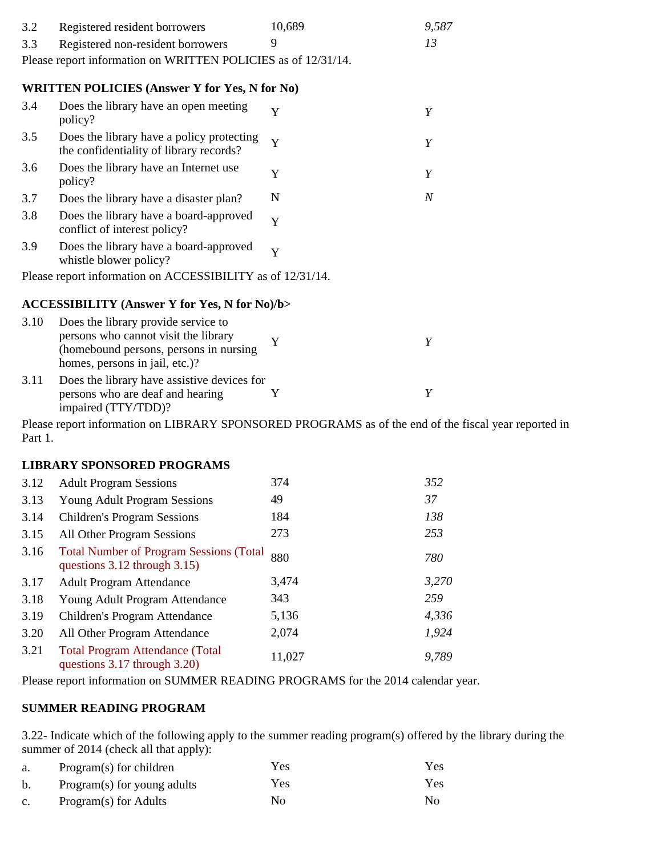| 3.2  | Registered resident borrowers                                                                                                                            | 10,689 | 9,587            |
|------|----------------------------------------------------------------------------------------------------------------------------------------------------------|--------|------------------|
| 3.3  | Registered non-resident borrowers                                                                                                                        | 9      | 13               |
|      | Please report information on WRITTEN POLICIES as of 12/31/14.                                                                                            |        |                  |
|      | <b>WRITTEN POLICIES (Answer Y for Yes, N for No)</b>                                                                                                     |        |                  |
| 3.4  | Does the library have an open meeting<br>policy?                                                                                                         | Y      | Y                |
| 3.5  | Does the library have a policy protecting<br>the confidentiality of library records?                                                                     | Y      | Y                |
| 3.6  | Does the library have an Internet use<br>policy?                                                                                                         | Y      | Y                |
| 3.7  | Does the library have a disaster plan?                                                                                                                   | N      | $\boldsymbol{N}$ |
| 3.8  | Does the library have a board-approved<br>conflict of interest policy?                                                                                   | Y      |                  |
| 3.9  | Does the library have a board-approved<br>whistle blower policy?                                                                                         | Y      |                  |
|      | Please report information on ACCESSIBILITY as of 12/31/14.                                                                                               |        |                  |
|      | <b>ACCESSIBILITY (Answer Y for Yes, N for No)/b&gt;</b>                                                                                                  |        |                  |
| 3.10 | Does the library provide service to<br>persons who cannot visit the library<br>(homebound persons, persons in nursing)<br>homes, persons in jail, etc.)? | Y      | Y                |
| 3.11 | Does the library have assistive devices for<br>persons who are deaf and hearing<br>impaired (TTY/TDD)?                                                   | Y      | Y                |
|      | $D0.000$ report information on LIDD ADV CDONCODED DDOCD AMC as of the and of the                                                                         |        |                  |

Please report information on LIBRARY SPONSORED PROGRAMS as of the end of the fiscal year reported in Part 1.

#### **LIBRARY SPONSORED PROGRAMS**

| 3.12 | <b>Adult Program Sessions</b>                                                       | 374    | 352   |
|------|-------------------------------------------------------------------------------------|--------|-------|
| 3.13 | <b>Young Adult Program Sessions</b>                                                 | 49     | 37    |
| 3.14 | <b>Children's Program Sessions</b>                                                  | 184    | 138   |
| 3.15 | All Other Program Sessions                                                          | 273    | 253   |
| 3.16 | <b>Total Number of Program Sessions (Total</b><br>questions $3.12$ through $3.15$ ) | 880    | 780   |
| 3.17 | <b>Adult Program Attendance</b>                                                     | 3,474  | 3,270 |
| 3.18 | Young Adult Program Attendance                                                      | 343    | 259   |
| 3.19 | Children's Program Attendance                                                       | 5,136  | 4,336 |
| 3.20 | All Other Program Attendance                                                        | 2,074  | 1,924 |
| 3.21 | <b>Total Program Attendance (Total</b><br>questions 3.17 through 3.20)              | 11,027 | 9,789 |

Please report information on SUMMER READING PROGRAMS for the 2014 calendar year.

#### **SUMMER READING PROGRAM**

3.22- Indicate which of the following apply to the summer reading program(s) offered by the library during the summer of 2014 (check all that apply):

| a.          | Program(s) for children     | Yes | Yes |
|-------------|-----------------------------|-----|-----|
| b.          | Program(s) for young adults | Yes | Yes |
| $c_{\cdot}$ | Program(s) for Adults       | No. | No  |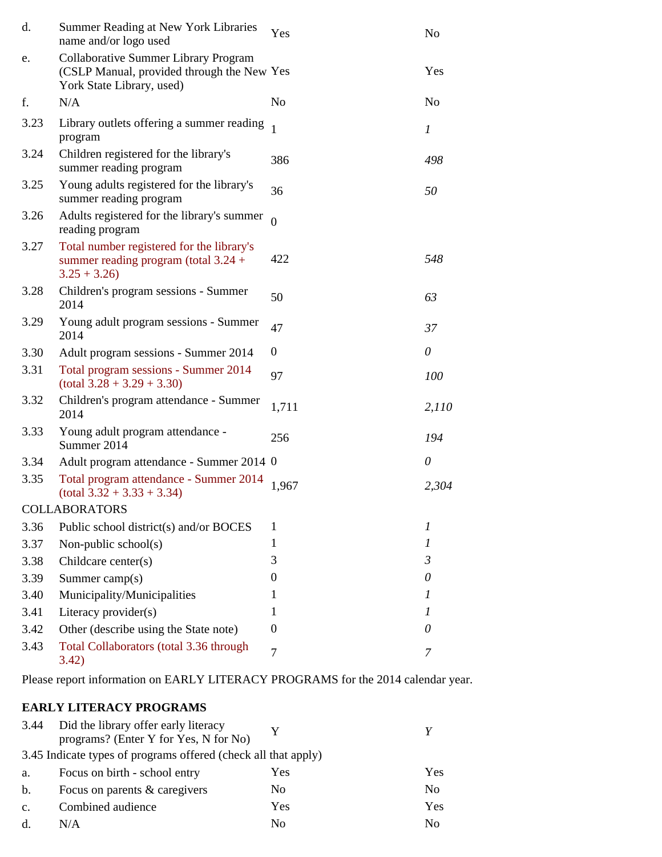| d.   | Summer Reading at New York Libraries<br>name and/or logo used                                                          | Yes              | N <sub>o</sub>   |
|------|------------------------------------------------------------------------------------------------------------------------|------------------|------------------|
| e.   | <b>Collaborative Summer Library Program</b><br>(CSLP Manual, provided through the New Yes<br>York State Library, used) |                  | Yes              |
| f.   | N/A                                                                                                                    | N <sub>o</sub>   | N <sub>0</sub>   |
| 3.23 | Library outlets offering a summer reading<br>program                                                                   |                  | $\boldsymbol{l}$ |
| 3.24 | Children registered for the library's<br>summer reading program                                                        | 386              | 498              |
| 3.25 | Young adults registered for the library's<br>summer reading program                                                    | 36               | 50               |
| 3.26 | Adults registered for the library's summer<br>reading program                                                          | $\overline{0}$   |                  |
| 3.27 | Total number registered for the library's<br>summer reading program (total $3.24 +$<br>$3.25 + 3.26$                   | 422              | 548              |
| 3.28 | Children's program sessions - Summer<br>2014                                                                           | 50               | 63               |
| 3.29 | Young adult program sessions - Summer<br>2014                                                                          | 47               | 37               |
| 3.30 | Adult program sessions - Summer 2014                                                                                   | $\boldsymbol{0}$ | $\theta$         |
| 3.31 | Total program sessions - Summer 2014<br>$(total 3.28 + 3.29 + 3.30)$                                                   | 97               | 100              |
| 3.32 | Children's program attendance - Summer<br>2014                                                                         | 1,711            | 2,110            |
| 3.33 | Young adult program attendance -<br>Summer 2014                                                                        | 256              | 194              |
| 3.34 | Adult program attendance - Summer 2014 0                                                                               |                  | $\theta$         |
| 3.35 | Total program attendance - Summer 2014<br>$(total 3.32 + 3.33 + 3.34)$                                                 | 1,967            | 2,304            |
|      | <b>COLLABORATORS</b>                                                                                                   |                  |                  |
| 3.36 | Public school district(s) and/or BOCES                                                                                 | 1                | 1                |
| 3.37 | Non-public school $(s)$                                                                                                | $\mathbf{1}$     | 1                |
| 3.38 | Childcare center(s)                                                                                                    | 3                | 3                |
| 3.39 | Summer camp(s)                                                                                                         | 0                | 0                |
| 3.40 | Municipality/Municipalities                                                                                            | 1                | 1                |
| 3.41 | Literacy provider(s)                                                                                                   | 1                | 1                |
| 3.42 | Other (describe using the State note)                                                                                  | $\boldsymbol{0}$ | 0                |
| 3.43 | Total Collaborators (total 3.36 through<br>3.42)                                                                       | 7                | 7                |

Please report information on EARLY LITERACY PROGRAMS for the 2014 calendar year.

## **EARLY LITERACY PROGRAMS**

| 3.44           | Did the library offer early literacy                           |     |     |
|----------------|----------------------------------------------------------------|-----|-----|
|                | programs? (Enter Y for Yes, N for No)                          |     |     |
|                | 3.45 Indicate types of programs offered (check all that apply) |     |     |
| a.             | Focus on birth - school entry                                  | Yes | Yes |
| b.             | Focus on parents & caregivers                                  | No  | No. |
| $\mathbf{C}$ . | Combined audience                                              | Yes | Yes |
|                | N/A                                                            | No  | No. |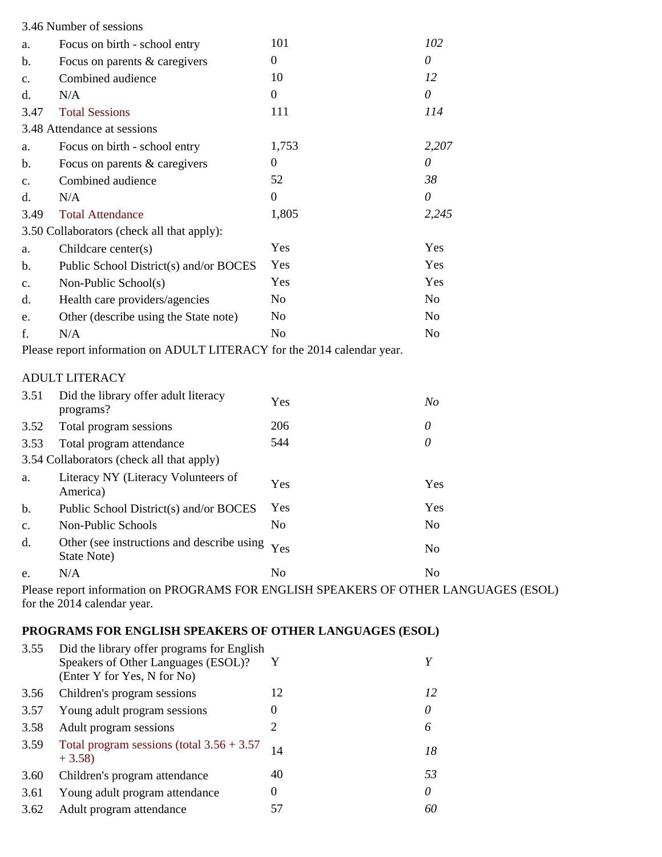|                | 3.46 Number of sessions                                                                                             |                |                |
|----------------|---------------------------------------------------------------------------------------------------------------------|----------------|----------------|
| a.             | Focus on birth - school entry                                                                                       | 101            | 102            |
| b.             | Focus on parents & caregivers                                                                                       | $\mathbf{0}$   | $\theta$       |
| c.             | Combined audience                                                                                                   | 10             | 12             |
| d.             | N/A                                                                                                                 | $\overline{0}$ | $\theta$       |
| 3.47           | <b>Total Sessions</b>                                                                                               | 111            | 114            |
|                | 3.48 Attendance at sessions                                                                                         |                |                |
| a.             | Focus on birth - school entry                                                                                       | 1,753          | 2,207          |
| b.             | Focus on parents & caregivers                                                                                       | $\mathbf{0}$   | $\theta$       |
| $\mathbf{c}$ . | Combined audience                                                                                                   | 52             | 38             |
| d.             | N/A                                                                                                                 | $\theta$       | 0              |
| 3.49           | <b>Total Attendance</b>                                                                                             | 1,805          | 2,245          |
|                | 3.50 Collaborators (check all that apply):                                                                          |                |                |
| a.             | Childcare center(s)                                                                                                 | Yes            | Yes            |
| b.             | Public School District(s) and/or BOCES                                                                              | Yes            | Yes            |
| $\mathbf{c}$ . | Non-Public School(s)                                                                                                | Yes            | Yes            |
| d.             | Health care providers/agencies                                                                                      | N <sub>o</sub> | N <sub>o</sub> |
| e.             | Other (describe using the State note)                                                                               | N <sub>o</sub> | N <sub>o</sub> |
| f.             | N/A                                                                                                                 | N <sub>o</sub> | N <sub>o</sub> |
|                | Please report information on ADULT LITERACY for the 2014 calendar year.                                             |                |                |
|                | <b>ADULT LITERACY</b>                                                                                               |                |                |
| 3.51           | Did the library offer adult literacy<br>programs?                                                                   | Yes            | N <sub>O</sub> |
| 3.52           | Total program sessions                                                                                              | 206            | $\theta$       |
| 3.53           | Total program attendance                                                                                            | 544            | $\theta$       |
|                | 3.54 Collaborators (check all that apply)                                                                           |                |                |
| a.             | Literacy NY (Literacy Volunteers of<br>America)                                                                     | Yes            | Yes            |
| b.             | Public School District(s) and/or BOCES                                                                              | Yes            | Yes            |
| $\mathbf{c}$ . | Non-Public Schools                                                                                                  | N <sub>o</sub> | No             |
| d.             | Other (see instructions and describe using<br>State Note)                                                           | Yes            | N <sub>o</sub> |
| e.             | N/A                                                                                                                 | N <sub>o</sub> | N <sub>o</sub> |
|                | Please report information on PROGRAMS FOR ENGLISH SPEAKERS OF OTHER LANGUAGES (ESOL)<br>for the 2014 calendar year. |                |                |

## **PROGRAMS FOR ENGLISH SPEAKERS OF OTHER LANGUAGES (ESOL)**

| 3.55 | Did the library offer programs for English<br>Speakers of Other Languages (ESOL)?<br>(Enter Y for Yes, N for No) | Y        | Y  |
|------|------------------------------------------------------------------------------------------------------------------|----------|----|
| 3.56 | Children's program sessions                                                                                      | 12       | 12 |
| 3.57 | Young adult program sessions                                                                                     | 0        | 0  |
| 3.58 | Adult program sessions                                                                                           | 2        | 6  |
| 3.59 | Total program sessions (total $3.56 + 3.57$<br>$+3.58$                                                           | 14       | 18 |
| 3.60 | Children's program attendance                                                                                    | 40       | 53 |
| 3.61 | Young adult program attendance                                                                                   | $\theta$ | 0  |
| 3.62 | Adult program attendance                                                                                         | 57       | 60 |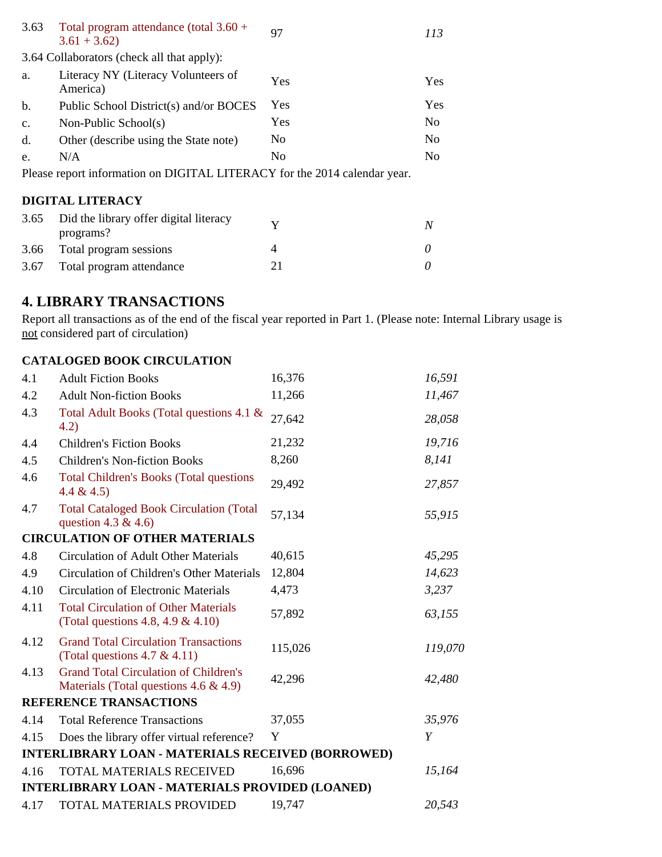| 3.63          | Total program attendance (total $3.60 +$<br>$3.61 + 3.62$                 | 97  | 113            |
|---------------|---------------------------------------------------------------------------|-----|----------------|
|               | 3.64 Collaborators (check all that apply):                                |     |                |
| a.            | Literacy NY (Literacy Volunteers of<br>America)                           | Yes | Yes            |
| b.            | Public School District(s) and/or BOCES                                    | Yes | Yes            |
| $C_{\bullet}$ | Non-Public School(s)                                                      | Yes | No.            |
| d.            | Other (describe using the State note)                                     | No  | N <sub>0</sub> |
| e.            | N/A                                                                       | No  | No.            |
|               | Please report information on DIGITAL LITERACY for the 2014 calendar year. |     |                |
|               | <b>DIGITAL LITERACY</b>                                                   |     |                |
| 3.65          | Did the library offer digital literacy<br>programs?                       | Y   | N              |
| 3.66          | Total program sessions                                                    | 4   |                |

3.67 Total program attendance 21 *0*

# **4. LIBRARY TRANSACTIONS**

Report all transactions as of the end of the fiscal year reported in Part 1. (Please note: Internal Library usage is not considered part of circulation)

### **CATALOGED BOOK CIRCULATION**

| 4.1  | <b>Adult Fiction Books</b>                                                                | 16,376  | 16,591  |
|------|-------------------------------------------------------------------------------------------|---------|---------|
| 4.2  | <b>Adult Non-fiction Books</b>                                                            | 11,266  | 11,467  |
| 4.3  | Total Adult Books (Total questions 4.1 &<br>(4.2)                                         | 27,642  | 28,058  |
| 4.4  | <b>Children's Fiction Books</b>                                                           | 21,232  | 19,716  |
| 4.5  | <b>Children's Non-fiction Books</b>                                                       | 8,260   | 8,141   |
| 4.6  | <b>Total Children's Books (Total questions</b><br>4.4 & 4.5                               | 29,492  | 27,857  |
| 4.7  | <b>Total Cataloged Book Circulation (Total</b><br>question 4.3 & 4.6)                     | 57,134  | 55,915  |
|      | <b>CIRCULATION OF OTHER MATERIALS</b>                                                     |         |         |
| 4.8  | <b>Circulation of Adult Other Materials</b>                                               | 40,615  | 45,295  |
| 4.9  | Circulation of Children's Other Materials                                                 | 12,804  | 14,623  |
| 4.10 | <b>Circulation of Electronic Materials</b>                                                | 4,473   | 3,237   |
| 4.11 | <b>Total Circulation of Other Materials</b><br>(Total questions 4.8, 4.9 $&$ 4.10)        | 57,892  | 63,155  |
| 4.12 | <b>Grand Total Circulation Transactions</b><br>(Total questions $4.7 \& 4.11$ )           | 115,026 | 119,070 |
| 4.13 | <b>Grand Total Circulation of Children's</b><br>Materials (Total questions $4.6 \& 4.9$ ) | 42,296  | 42,480  |
|      | <b>REFERENCE TRANSACTIONS</b>                                                             |         |         |
| 4.14 | <b>Total Reference Transactions</b>                                                       | 37,055  | 35,976  |
| 4.15 | Does the library offer virtual reference?                                                 | Y       | Y       |
|      | <b>INTERLIBRARY LOAN - MATERIALS RECEIVED (BORROWED)</b>                                  |         |         |
| 4.16 | TOTAL MATERIALS RECEIVED                                                                  | 16,696  | 15,164  |
|      | <b>INTERLIBRARY LOAN - MATERIALS PROVIDED (LOANED)</b>                                    |         |         |
| 4.17 | <b>TOTAL MATERIALS PROVIDED</b>                                                           | 19,747  | 20,543  |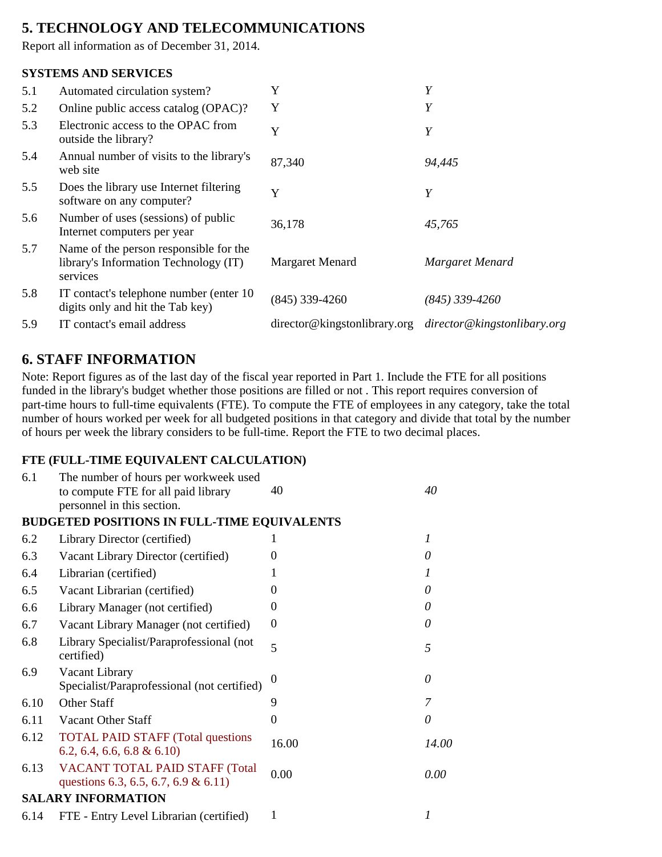# **5. TECHNOLOGY AND TELECOMMUNICATIONS**

Report all information as of December 31, 2014.

#### **SYSTEMS AND SERVICES**

| 5.1 | Automated circulation system?                                                               | Y                                                        | Y                |
|-----|---------------------------------------------------------------------------------------------|----------------------------------------------------------|------------------|
| 5.2 | Online public access catalog (OPAC)?                                                        | Y                                                        | Y                |
| 5.3 | Electronic access to the OPAC from<br>outside the library?                                  | Y                                                        | Y                |
| 5.4 | Annual number of visits to the library's<br>web site                                        | 87,340                                                   | 94,445           |
| 5.5 | Does the library use Internet filtering<br>software on any computer?                        | Y                                                        | Y                |
| 5.6 | Number of uses (sessions) of public<br>Internet computers per year                          | 36,178                                                   | 45,765           |
| 5.7 | Name of the person responsible for the<br>library's Information Technology (IT)<br>services | Margaret Menard                                          | Margaret Menard  |
| 5.8 | IT contact's telephone number (enter 10)<br>digits only and hit the Tab key)                | $(845)$ 339-4260                                         | $(845)$ 339-4260 |
| 5.9 | IT contact's email address                                                                  | director@kingstonlibrary.org director@kingstonlibary.org |                  |

# **6. STAFF INFORMATION**

Note: Report figures as of the last day of the fiscal year reported in Part 1. Include the FTE for all positions funded in the library's budget whether those positions are filled or not . This report requires conversion of part-time hours to full-time equivalents (FTE). To compute the FTE of employees in any category, take the total number of hours worked per week for all budgeted positions in that category and divide that total by the number of hours per week the library considers to be full-time. Report the FTE to two decimal places.

#### **FTE (FULL-TIME EQUIVALENT CALCULATION)**

| 6.1  | The number of hours per workweek used<br>to compute FTE for all paid library<br>personnel in this section. | 40             | 40    |
|------|------------------------------------------------------------------------------------------------------------|----------------|-------|
|      | <b>BUDGETED POSITIONS IN FULL-TIME EQUIVALENTS</b>                                                         |                |       |
| 6.2  | Library Director (certified)                                                                               | I              | 1     |
| 6.3  | Vacant Library Director (certified)                                                                        | 0              | 0     |
| 6.4  | Librarian (certified)                                                                                      |                | 1     |
| 6.5  | Vacant Librarian (certified)                                                                               | 0              | 0     |
| 6.6  | Library Manager (not certified)                                                                            | 0              | 0     |
| 6.7  | Vacant Library Manager (not certified)                                                                     | $\theta$       | 0     |
| 6.8  | Library Specialist/Paraprofessional (not<br>certified)                                                     | 5              | 5     |
| 6.9  | Vacant Library<br>Specialist/Paraprofessional (not certified)                                              | 0              | 0     |
| 6.10 | Other Staff                                                                                                | 9              | 7     |
| 6.11 | Vacant Other Staff                                                                                         | $\overline{0}$ | 0     |
| 6.12 | <b>TOTAL PAID STAFF (Total questions)</b><br>$6.2, 6.4, 6.6, 6.8 \& 6.10$                                  | 16.00          | 14.00 |
| 6.13 | VACANT TOTAL PAID STAFF (Total<br>questions 6.3, 6.5, 6.7, 6.9 & 6.11)                                     | 0.00           | 0.00  |
|      | <b>SALARY INFORMATION</b>                                                                                  |                |       |
| 6.14 | FTE - Entry Level Librarian (certified)                                                                    | 1              | 1     |
|      |                                                                                                            |                |       |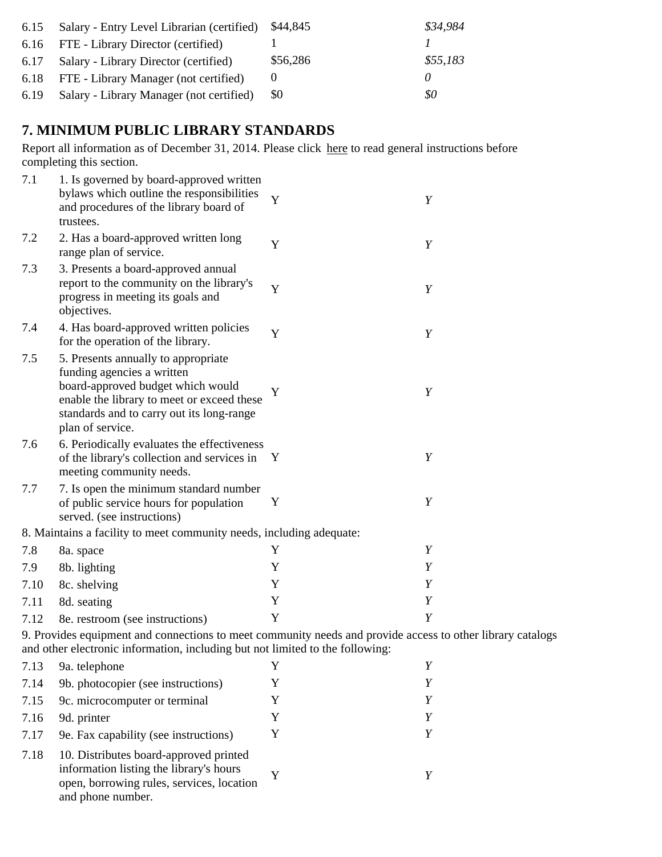| 6.15 | Salary - Entry Level Librarian (certified) | \$44,845 | \$34,984 |
|------|--------------------------------------------|----------|----------|
|      | 6.16 FTE - Library Director (certified)    |          |          |
|      | 6.17 Salary - Library Director (certified) | \$56,286 | \$55,183 |
|      | 6.18 FTE - Library Manager (not certified) |          |          |
| 6.19 | Salary - Library Manager (not certified)   | - \$0    | \$0      |

# **7. MINIMUM PUBLIC LIBRARY STANDARDS**

Report all information as of December 31, 2014. Please click here to read general instructions before completing this section.

| 7.1  | 1. Is governed by board-approved written<br>bylaws which outline the responsibilities<br>and procedures of the library board of<br>trustees.                                                                          | Y            | Y                |
|------|-----------------------------------------------------------------------------------------------------------------------------------------------------------------------------------------------------------------------|--------------|------------------|
| 7.2  | 2. Has a board-approved written long<br>range plan of service.                                                                                                                                                        | Y            | Y                |
| 7.3  | 3. Presents a board-approved annual<br>report to the community on the library's<br>progress in meeting its goals and<br>objectives.                                                                                   | Y            | Y                |
| 7.4  | 4. Has board-approved written policies<br>for the operation of the library.                                                                                                                                           | Y            | Y                |
| 7.5  | 5. Presents annually to appropriate<br>funding agencies a written<br>board-approved budget which would<br>enable the library to meet or exceed these<br>standards and to carry out its long-range<br>plan of service. | Y            | $\boldsymbol{Y}$ |
| 7.6  | 6. Periodically evaluates the effectiveness<br>of the library's collection and services in<br>meeting community needs.                                                                                                | Y            | Y                |
| 7.7  | 7. Is open the minimum standard number<br>of public service hours for population<br>served. (see instructions)                                                                                                        | Y            | Y                |
|      | 8. Maintains a facility to meet community needs, including adequate:                                                                                                                                                  |              |                  |
| 7.8  | 8a. space                                                                                                                                                                                                             | Y            | Y                |
| 7.9  | 8b. lighting                                                                                                                                                                                                          | Y            | Y                |
| 7.10 | 8c. shelving                                                                                                                                                                                                          | Y            | Y                |
| 7.11 | 8d. seating                                                                                                                                                                                                           | Y            | Y                |
| 7.12 | 8e. restroom (see instructions)                                                                                                                                                                                       | Y            | $\boldsymbol{Y}$ |
|      | 9. Provides equipment and connections to meet community needs and provide access to other library catalogs                                                                                                            |              |                  |
|      | and other electronic information, including but not limited to the following:                                                                                                                                         |              |                  |
| 713  | 9a telephone                                                                                                                                                                                                          | $\mathbf{Y}$ | Y                |

| 7.13 | 9a. telephone                                                                                                                                       |   |  |
|------|-----------------------------------------------------------------------------------------------------------------------------------------------------|---|--|
| 7.14 | 9b. photocopier (see instructions)                                                                                                                  |   |  |
| 7.15 | 9c. microcomputer or terminal                                                                                                                       |   |  |
| 7.16 | 9d. printer                                                                                                                                         | Y |  |
| 7.17 | 9e. Fax capability (see instructions)                                                                                                               |   |  |
| 7.18 | 10. Distributes board-approved printed<br>information listing the library's hours<br>open, borrowing rules, services, location<br>and phone number. |   |  |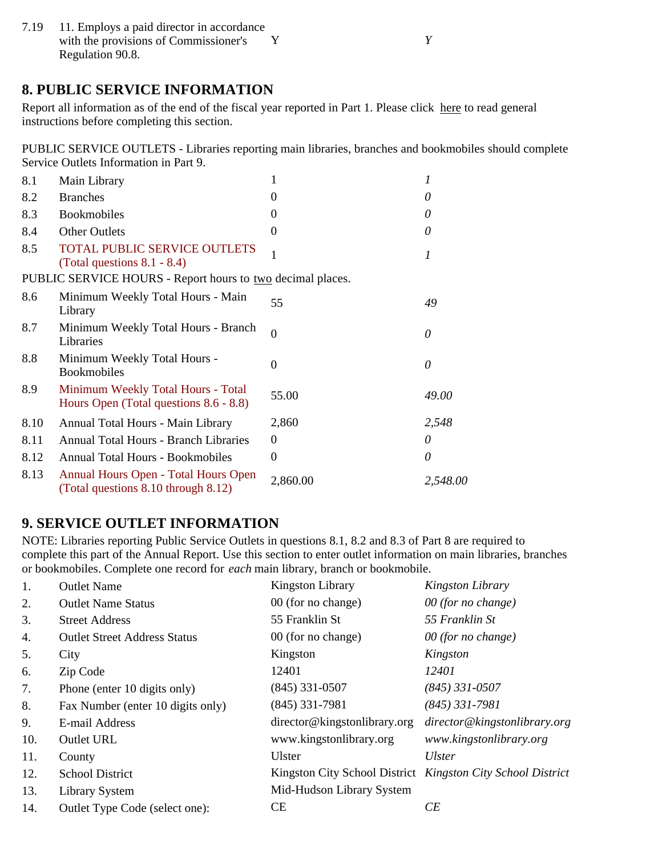7.19 11. Employs a paid director in accordance with the provisions of Commissioner's Y *Y* Regulation 90.8.

## **8. PUBLIC SERVICE INFORMATION**

Report all information as of the end of the fiscal year reported in Part 1. Please click here to read general instructions before completing this section.

PUBLIC SERVICE OUTLETS - Libraries reporting main libraries, branches and bookmobiles should complete Service Outlets Information in Part 9.

| 8.1  | Main Library                                                                       | 1                | 1        |
|------|------------------------------------------------------------------------------------|------------------|----------|
| 8.2  | <b>Branches</b>                                                                    | $\theta$         | 0        |
| 8.3  | <b>Bookmobiles</b>                                                                 | $\theta$         | 0        |
| 8.4  | <b>Other Outlets</b>                                                               | $\Omega$         | 0        |
| 8.5  | <b>TOTAL PUBLIC SERVICE OUTLETS</b><br>(Total questions $8.1 - 8.4$ )              |                  | 1        |
|      | PUBLIC SERVICE HOURS - Report hours to two decimal places.                         |                  |          |
| 8.6  | Minimum Weekly Total Hours - Main<br>Library                                       | 55               | 49       |
| 8.7  | Minimum Weekly Total Hours - Branch<br>Libraries                                   | $\mathbf{0}$     | 0        |
| 8.8  | Minimum Weekly Total Hours -<br><b>Bookmobiles</b>                                 | $\theta$         | 0        |
| 8.9  | Minimum Weekly Total Hours - Total<br>Hours Open (Total questions 8.6 - 8.8)       | 55.00            | 49.00    |
| 8.10 | Annual Total Hours - Main Library                                                  | 2,860            | 2,548    |
| 8.11 | <b>Annual Total Hours - Branch Libraries</b>                                       | $\boldsymbol{0}$ | 0        |
| 8.12 | <b>Annual Total Hours - Bookmobiles</b>                                            | $\overline{0}$   | 0        |
| 8.13 | <b>Annual Hours Open - Total Hours Open</b><br>(Total questions 8.10 through 8.12) | 2,860.00         | 2,548.00 |

## **9. SERVICE OUTLET INFORMATION**

NOTE: Libraries reporting Public Service Outlets in questions 8.1, 8.2 and 8.3 of Part 8 are required to complete this part of the Annual Report. Use this section to enter outlet information on main libraries, branches or bookmobiles. Complete one record for *each* main library, branch or bookmobile.

| 1.  | <b>Outlet Name</b>                  | <b>Kingston Library</b>      | Kingston Library                                            |
|-----|-------------------------------------|------------------------------|-------------------------------------------------------------|
| 2.  | <b>Outlet Name Status</b>           | 00 (for no change)           | 00 (for no change)                                          |
| 3.  | <b>Street Address</b>               | 55 Franklin St               | 55 Franklin St                                              |
| 4.  | <b>Outlet Street Address Status</b> | 00 (for no change)           | $00$ (for no change)                                        |
| 5.  | City                                | Kingston                     | Kingston                                                    |
| 6.  | Zip Code                            | 12401                        | 12401                                                       |
| 7.  | Phone (enter 10 digits only)        | $(845)$ 331-0507             | $(845)$ 331-0507                                            |
| 8.  | Fax Number (enter 10 digits only)   | $(845)$ 331-7981             | $(845)$ 331-7981                                            |
| 9.  | E-mail Address                      | director@kingstonlibrary.org | director@kingstonlibrary.org                                |
| 10. | Outlet URL                          | www.kingstonlibrary.org      | www.kingstonlibrary.org                                     |
| 11. | County                              | <b>Ulster</b>                | <b>Ulster</b>                                               |
| 12. | <b>School District</b>              |                              | Kingston City School District Kingston City School District |
| 13. | <b>Library System</b>               | Mid-Hudson Library System    |                                                             |
| 14. | Outlet Type Code (select one):      | <b>CE</b>                    | CE                                                          |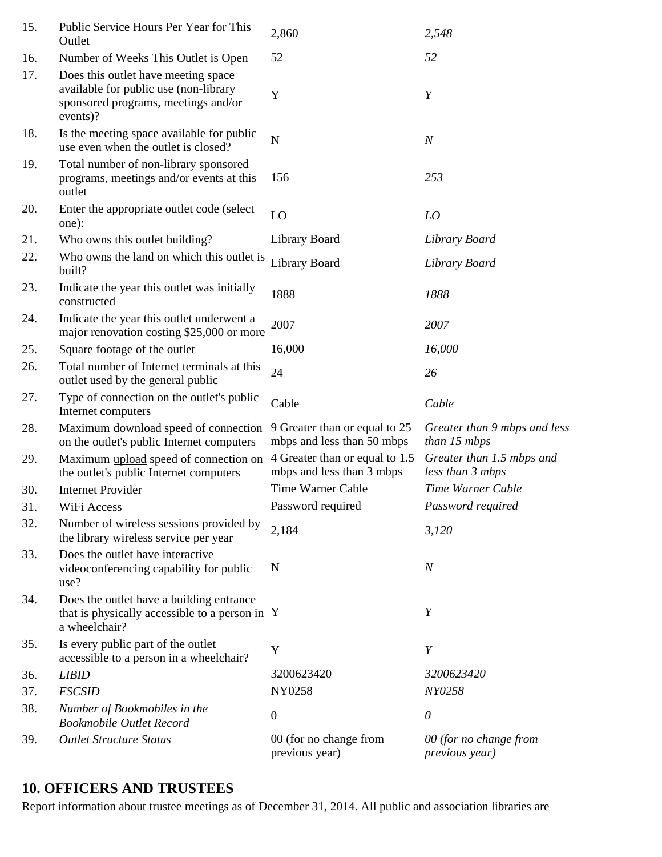| 15. | Public Service Hours Per Year for This<br>Outlet                                                                                | 2,860                                                       | 2,548                                         |
|-----|---------------------------------------------------------------------------------------------------------------------------------|-------------------------------------------------------------|-----------------------------------------------|
| 16. | Number of Weeks This Outlet is Open                                                                                             | 52                                                          | 52                                            |
| 17. | Does this outlet have meeting space<br>available for public use (non-library<br>sponsored programs, meetings and/or<br>events)? | Y                                                           | Y                                             |
| 18. | Is the meeting space available for public<br>use even when the outlet is closed?                                                | N                                                           | $\boldsymbol{N}$                              |
| 19. | Total number of non-library sponsored<br>programs, meetings and/or events at this<br>outlet                                     | 156                                                         | 253                                           |
| 20. | Enter the appropriate outlet code (select)<br>one):                                                                             | LO                                                          | LO                                            |
| 21. | Who owns this outlet building?                                                                                                  | Library Board                                               | Library Board                                 |
| 22. | Who owns the land on which this outlet is<br>built?                                                                             | <b>Library Board</b>                                        | Library Board                                 |
| 23. | Indicate the year this outlet was initially<br>constructed                                                                      | 1888                                                        | 1888                                          |
| 24. | Indicate the year this outlet underwent a<br>major renovation costing \$25,000 or more                                          | 2007                                                        | 2007                                          |
| 25. | Square footage of the outlet                                                                                                    | 16,000                                                      | 16,000                                        |
| 26. | Total number of Internet terminals at this<br>outlet used by the general public                                                 | 24                                                          | 26                                            |
| 27. | Type of connection on the outlet's public<br>Internet computers                                                                 | Cable                                                       | Cable                                         |
| 28. | Maximum download speed of connection<br>on the outlet's public Internet computers                                               | 9 Greater than or equal to 25<br>mbps and less than 50 mbps | Greater than 9 mbps and less<br>than 15 mbps  |
| 29. | Maximum upload speed of connection on<br>the outlet's public Internet computers                                                 | 4 Greater than or equal to 1.5<br>mbps and less than 3 mbps | Greater than 1.5 mbps and<br>less than 3 mbps |
| 30. | <b>Internet Provider</b>                                                                                                        | Time Warner Cable                                           | Time Warner Cable                             |
| 31. | WiFi Access                                                                                                                     | Password required                                           | Password required                             |
| 32. | Number of wireless sessions provided by<br>the library wireless service per year                                                | 2,184                                                       | 3,120                                         |
| 33. | Does the outlet have interactive<br>videoconferencing capability for public<br>use?                                             | N                                                           | $\boldsymbol{N}$                              |
| 34. | Does the outlet have a building entrance<br>that is physically accessible to a person in Y<br>a wheelchair?                     |                                                             | Y                                             |
| 35. | Is every public part of the outlet<br>accessible to a person in a wheelchair?                                                   | Y                                                           | Y                                             |
| 36. | <b>LIBID</b>                                                                                                                    | 3200623420                                                  | 3200623420                                    |
| 37. | <b>FSCSID</b>                                                                                                                   | NY0258                                                      | NY0258                                        |
| 38. | Number of Bookmobiles in the<br><b>Bookmobile Outlet Record</b>                                                                 | $\boldsymbol{0}$                                            | $\theta$                                      |
| 39. | <b>Outlet Structure Status</b>                                                                                                  | 00 (for no change from<br>previous year)                    | 00 (for no change from<br>previous year)      |

# **10. OFFICERS AND TRUSTEES**

Report information about trustee meetings as of December 31, 2014. All public and association libraries are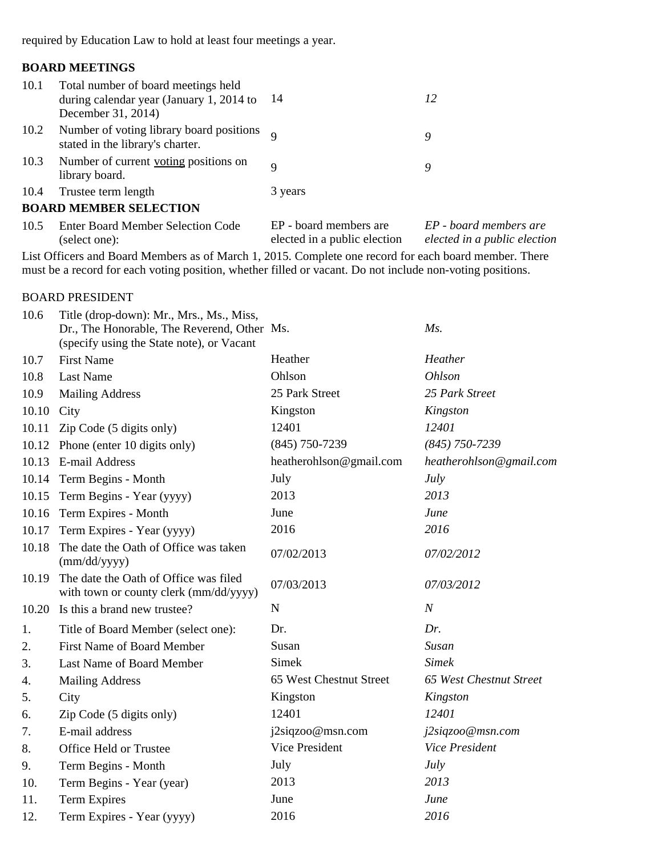required by Education Law to hold at least four meetings a year.

### **BOARD MEETINGS**

| 10.1 | Total number of board meetings held<br>during calendar year (January 1, 2014 to<br>December 31, 2014) | -14                                                    | 12                                                     |
|------|-------------------------------------------------------------------------------------------------------|--------------------------------------------------------|--------------------------------------------------------|
| 10.2 | Number of voting library board positions<br>stated in the library's charter.                          |                                                        | 9                                                      |
| 10.3 | Number of current voting positions on<br>library board.                                               | $\mathbf Q$                                            | 9                                                      |
| 10.4 | Trustee term length                                                                                   | 3 years                                                |                                                        |
|      | <b>BOARD MEMBER SELECTION</b>                                                                         |                                                        |                                                        |
| 10.5 | <b>Enter Board Member Selection Code</b><br>(select one):                                             | EP - board members are<br>elected in a public election | EP - board members are<br>elected in a public election |

List Officers and Board Members as of March 1, 2015. Complete one record for each board member. There must be a record for each voting position, whether filled or vacant. Do not include non-voting positions.

#### BOARD PRESIDENT

| 10.6  | Title (drop-down): Mr., Mrs., Ms., Miss,<br>Dr., The Honorable, The Reverend, Other Ms.<br>(specify using the State note), or Vacant |                         | $Ms$ .                  |
|-------|--------------------------------------------------------------------------------------------------------------------------------------|-------------------------|-------------------------|
| 10.7  | <b>First Name</b>                                                                                                                    | Heather                 | Heather                 |
| 10.8  | <b>Last Name</b>                                                                                                                     | Ohlson                  | <b>Ohlson</b>           |
| 10.9  | <b>Mailing Address</b>                                                                                                               | 25 Park Street          | 25 Park Street          |
| 10.10 | City                                                                                                                                 | Kingston                | Kingston                |
| 10.11 | Zip Code (5 digits only)                                                                                                             | 12401                   | 12401                   |
| 10.12 | Phone (enter 10 digits only)                                                                                                         | $(845)$ 750-7239        | $(845)$ 750-7239        |
| 10.13 | E-mail Address                                                                                                                       | heatherohlson@gmail.com | heatherohlson@gmail.com |
|       | 10.14 Term Begins - Month                                                                                                            | July                    | <b>July</b>             |
|       | 10.15 Term Begins - Year (yyyy)                                                                                                      | 2013                    | 2013                    |
|       | 10.16 Term Expires - Month                                                                                                           | June                    | June                    |
| 10.17 | Term Expires - Year (yyyy)                                                                                                           | 2016                    | 2016                    |
| 10.18 | The date the Oath of Office was taken<br>(mm/dd/yyyy)                                                                                | 07/02/2013              | 07/02/2012              |
| 10.19 | The date the Oath of Office was filed<br>with town or county clerk (mm/dd/yyyy)                                                      | 07/03/2013              | 07/03/2012              |
|       | 10.20 Is this a brand new trustee?                                                                                                   | $\mathbf N$             | $\overline{N}$          |
| 1.    | Title of Board Member (select one):                                                                                                  | Dr.                     | Dr.                     |
| 2.    | <b>First Name of Board Member</b>                                                                                                    | Susan                   | Susan                   |
| 3.    | Last Name of Board Member                                                                                                            | <b>Simek</b>            | <b>Simek</b>            |
| 4.    | <b>Mailing Address</b>                                                                                                               | 65 West Chestnut Street | 65 West Chestnut Street |
| 5.    | City                                                                                                                                 | Kingston                | Kingston                |
| 6.    | Zip Code (5 digits only)                                                                                                             | 12401                   | 12401                   |
| 7.    | E-mail address                                                                                                                       | j2siqzoo@msn.com        | j2siqzoo@msn.com        |
| 8.    | Office Held or Trustee                                                                                                               | Vice President          | <b>Vice President</b>   |
| 9.    | Term Begins - Month                                                                                                                  | July                    | <b>July</b>             |
| 10.   | Term Begins - Year (year)                                                                                                            | 2013                    | 2013                    |
| 11.   | <b>Term Expires</b>                                                                                                                  | June                    | June                    |
| 12.   | Term Expires - Year (yyyy)                                                                                                           | 2016                    | 2016                    |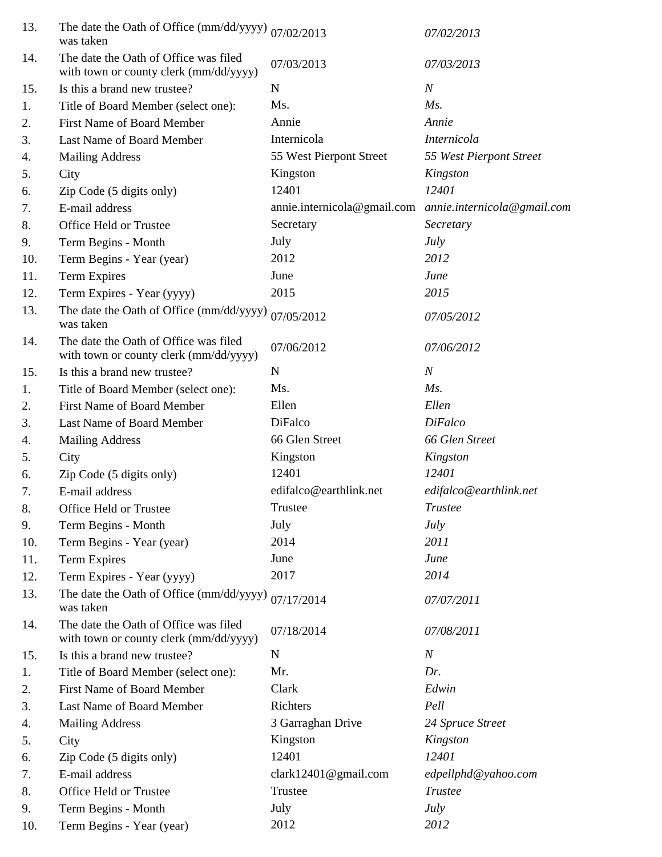| 13. | The date the Oath of Office (mm/dd/yyyy) $_{07/02/2013}$<br>was taken           |                             | 07/02/2013                                                    |
|-----|---------------------------------------------------------------------------------|-----------------------------|---------------------------------------------------------------|
| 14. | The date the Oath of Office was filed<br>with town or county clerk (mm/dd/yyyy) | 07/03/2013                  | 07/03/2013                                                    |
| 15. | Is this a brand new trustee?                                                    | $\mathbf N$                 | $\boldsymbol{N}$                                              |
| 1.  | Title of Board Member (select one):                                             | Ms.                         | $M_s$ .                                                       |
| 2.  | <b>First Name of Board Member</b>                                               | Annie                       | Annie                                                         |
| 3.  | Last Name of Board Member                                                       | Internicola                 | Internicola                                                   |
| 4.  | <b>Mailing Address</b>                                                          | 55 West Pierpont Street     | 55 West Pierpont Street                                       |
| 5.  | City                                                                            | Kingston                    | Kingston                                                      |
| 6.  | Zip Code (5 digits only)                                                        | 12401                       | 12401                                                         |
| 7.  | E-mail address                                                                  | annie.internicola@gmail.com | annie.internicola@gmail.com                                   |
| 8.  | Office Held or Trustee                                                          | Secretary                   | Secretary                                                     |
| 9.  | Term Begins - Month                                                             | July                        | <b>July</b>                                                   |
| 10. | Term Begins - Year (year)                                                       | 2012                        | 2012                                                          |
| 11. | <b>Term Expires</b>                                                             | June                        | June                                                          |
| 12. | Term Expires - Year (yyyy)                                                      | 2015                        | 2015                                                          |
| 13. | The date the Oath of Office (mm/dd/yyyy)<br>was taken                           | 07/05/2012                  | 07/05/2012                                                    |
| 14. | The date the Oath of Office was filed<br>with town or county clerk (mm/dd/yyyy) | 07/06/2012                  | 07/06/2012                                                    |
| 15. | Is this a brand new trustee?                                                    | $\mathbf N$                 | $\boldsymbol{N}$                                              |
| 1.  | Title of Board Member (select one):                                             | Ms.                         | $Ms$ .                                                        |
| 2.  | <b>First Name of Board Member</b>                                               | Ellen                       | Ellen                                                         |
| 3.  | Last Name of Board Member                                                       | DiFalco                     | <b>DiFalco</b>                                                |
| 4.  | <b>Mailing Address</b>                                                          | 66 Glen Street              | 66 Glen Street                                                |
| 5.  | City                                                                            | Kingston                    | Kingston                                                      |
| 6.  | Zip Code (5 digits only)                                                        | 12401                       | 12401                                                         |
| 7.  | E-mail address                                                                  | edifalco@earthlink.net      | edifalco@earthlink.net                                        |
| 8.  | Office Held or Trustee                                                          | Trustee                     | $\label{eq:1} \begin{aligned} \textit{Trustee} \end{aligned}$ |
| 9.  | Term Begins - Month                                                             | July                        | July                                                          |
| 10. | Term Begins - Year (year)                                                       | 2014                        | 2011                                                          |
| 11. | <b>Term Expires</b>                                                             | June                        | June                                                          |
| 12. | Term Expires - Year (yyyy)                                                      | 2017                        | 2014                                                          |
| 13. | The date the Oath of Office (mm/dd/yyyy)<br>was taken                           | 07/17/2014                  | 07/07/2011                                                    |
| 14. | The date the Oath of Office was filed<br>with town or county clerk (mm/dd/yyyy) | 07/18/2014                  | 07/08/2011                                                    |
| 15. | Is this a brand new trustee?                                                    | $\mathbf N$                 | $\boldsymbol{N}$                                              |
| 1.  | Title of Board Member (select one):                                             | Mr.                         | Dr.                                                           |
| 2.  | <b>First Name of Board Member</b>                                               | Clark                       | Edwin                                                         |
| 3.  | Last Name of Board Member                                                       | Richters                    | Pell                                                          |
| 4.  | <b>Mailing Address</b>                                                          | 3 Garraghan Drive           | 24 Spruce Street                                              |
| 5.  | City                                                                            | Kingston                    | Kingston                                                      |
| 6.  | Zip Code (5 digits only)                                                        | 12401                       | 12401                                                         |
| 7.  | E-mail address                                                                  | clark12401@gmail.com        | edpellphd@yahoo.com                                           |
| 8.  | Office Held or Trustee                                                          | Trustee                     | <b>Trustee</b>                                                |
| 9.  | Term Begins - Month                                                             | July                        | <b>July</b>                                                   |
| 10. | Term Begins - Year (year)                                                       | 2012                        | 2012                                                          |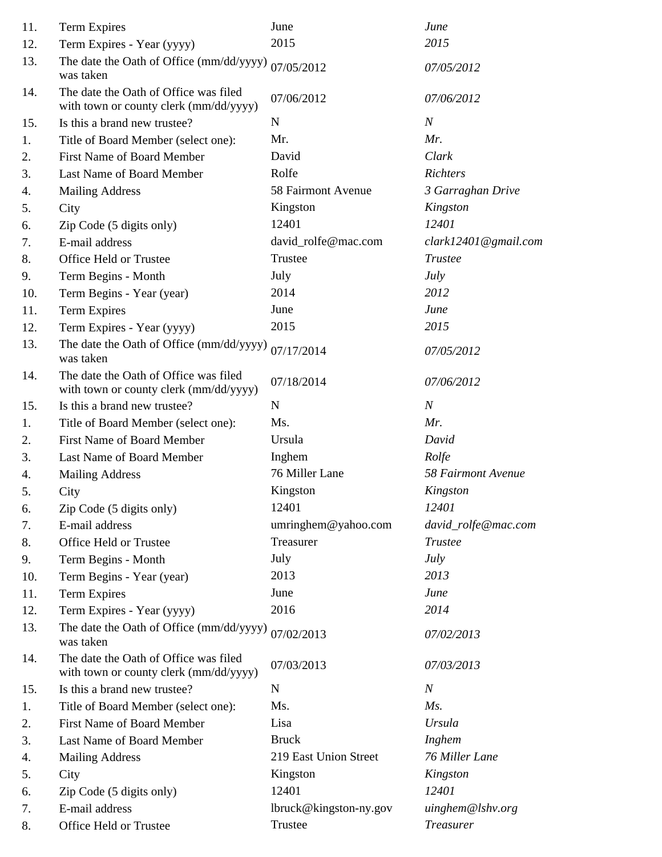| 11. | Term Expires                                                                    | June                   | June                 |
|-----|---------------------------------------------------------------------------------|------------------------|----------------------|
| 12. | Term Expires - Year (yyyy)                                                      | 2015                   | 2015                 |
| 13. | The date the Oath of Office (mm/dd/yyyy)<br>was taken                           | 07/05/2012             | 07/05/2012           |
| 14. | The date the Oath of Office was filed<br>with town or county clerk (mm/dd/yyyy) | 07/06/2012             | 07/06/2012           |
| 15. | Is this a brand new trustee?                                                    | $\mathbf N$            | $\boldsymbol{N}$     |
| 1.  | Title of Board Member (select one):                                             | Mr.                    | Mr.                  |
| 2.  | <b>First Name of Board Member</b>                                               | David                  | Clark                |
| 3.  | Last Name of Board Member                                                       | Rolfe                  | Richters             |
| 4.  | <b>Mailing Address</b>                                                          | 58 Fairmont Avenue     | 3 Garraghan Drive    |
| 5.  | City                                                                            | Kingston               | Kingston             |
| 6.  | Zip Code (5 digits only)                                                        | 12401                  | 12401                |
| 7.  | E-mail address                                                                  | david_rolfe@mac.com    | clark12401@gmail.com |
| 8.  | Office Held or Trustee                                                          | Trustee                | <b>Trustee</b>       |
| 9.  | Term Begins - Month                                                             | July                   | <b>July</b>          |
| 10. | Term Begins - Year (year)                                                       | 2014                   | 2012                 |
| 11. | <b>Term Expires</b>                                                             | June                   | June                 |
| 12. | Term Expires - Year (yyyy)                                                      | 2015                   | 2015                 |
| 13. | The date the Oath of Office (mm/dd/yyyy)<br>was taken                           | 07/17/2014             | 07/05/2012           |
| 14. | The date the Oath of Office was filed<br>with town or county clerk (mm/dd/yyyy) | 07/18/2014             | 07/06/2012           |
| 15. | Is this a brand new trustee?                                                    | $\mathbf N$            | $\boldsymbol{N}$     |
| 1.  | Title of Board Member (select one):                                             | Ms.                    | Mr.                  |
| 2.  | <b>First Name of Board Member</b>                                               | Ursula                 | David                |
| 3.  | Last Name of Board Member                                                       | Inghem                 | Rolfe                |
| 4.  | <b>Mailing Address</b>                                                          | 76 Miller Lane         | 58 Fairmont Avenue   |
| 5.  | City                                                                            | Kingston               | Kingston             |
| 6.  | Zip Code (5 digits only)                                                        | 12401                  | 12401                |
| 7.  | E-mail address                                                                  | umringhem@yahoo.com    | david_rolfe@mac.com  |
| 8.  | Office Held or Trustee                                                          | Treasurer              | <b>Trustee</b>       |
| 9.  | Term Begins - Month                                                             | July                   | July                 |
| 10. | Term Begins - Year (year)                                                       | 2013                   | 2013                 |
| 11. | <b>Term Expires</b>                                                             | June                   | June                 |
| 12. | Term Expires - Year (yyyy)                                                      | 2016                   | 2014                 |
| 13. | The date the Oath of Office (mm/dd/yyyy)<br>was taken                           | 07/02/2013             | 07/02/2013           |
| 14. | The date the Oath of Office was filed<br>with town or county clerk (mm/dd/yyyy) | 07/03/2013             | 07/03/2013           |
| 15. | Is this a brand new trustee?                                                    | $\mathbf N$            | $\boldsymbol{N}$     |
| 1.  | Title of Board Member (select one):                                             | Ms.                    | $Ms$ .               |
| 2.  | First Name of Board Member                                                      | Lisa                   | <b>Ursula</b>        |
| 3.  | Last Name of Board Member                                                       | <b>Bruck</b>           | Inghem               |
| 4.  | <b>Mailing Address</b>                                                          | 219 East Union Street  | 76 Miller Lane       |
| 5.  | City                                                                            | Kingston               | Kingston             |
| 6.  | Zip Code (5 digits only)                                                        | 12401                  | 12401                |
| 7.  | E-mail address                                                                  | lbruck@kingston-ny.gov | uinghem@lshv.org     |
| 8.  | Office Held or Trustee                                                          | Trustee                | <b>Treasurer</b>     |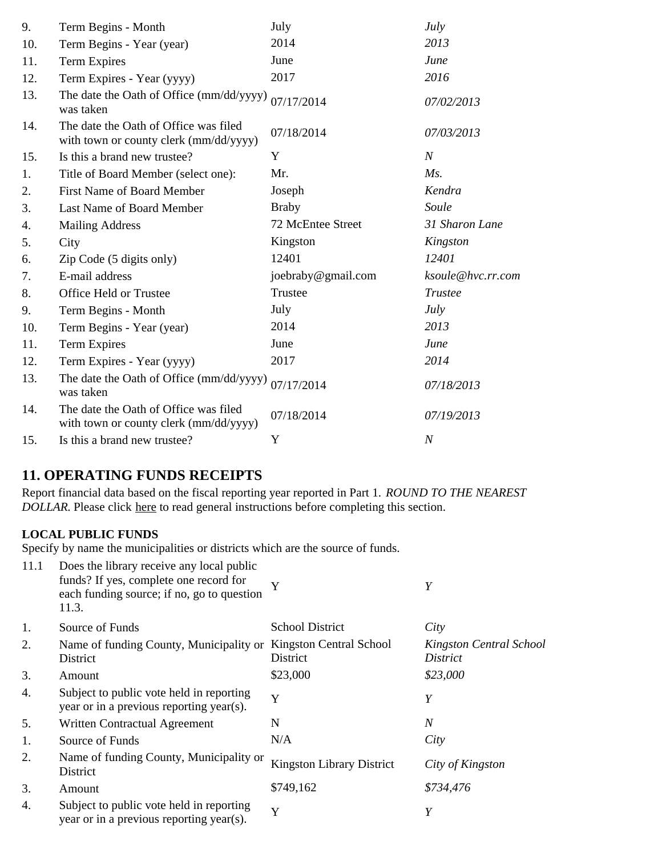| 9.  | Term Begins - Month                                                             | July               | July              |
|-----|---------------------------------------------------------------------------------|--------------------|-------------------|
| 10. | Term Begins - Year (year)                                                       | 2014               | 2013              |
| 11. | Term Expires                                                                    | June               | June              |
| 12. | Term Expires - Year (yyyy)                                                      | 2017               | 2016              |
| 13. | The date the Oath of Office (mm/dd/yyyy)<br>was taken                           | 07/17/2014         | 07/02/2013        |
| 14. | The date the Oath of Office was filed<br>with town or county clerk (mm/dd/yyyy) | 07/18/2014         | 07/03/2013        |
| 15. | Is this a brand new trustee?                                                    | Y                  | $\boldsymbol{N}$  |
| 1.  | Title of Board Member (select one):                                             | Mr.                | Ms.               |
| 2.  | <b>First Name of Board Member</b>                                               | Joseph             | Kendra            |
| 3.  | Last Name of Board Member                                                       | <b>Braby</b>       | Soule             |
| 4.  | <b>Mailing Address</b>                                                          | 72 McEntee Street  | 31 Sharon Lane    |
| 5.  | City                                                                            | Kingston           | Kingston          |
| 6.  | Zip Code (5 digits only)                                                        | 12401              | 12401             |
| 7.  | E-mail address                                                                  | joebraby@gmail.com | ksoule@hvc.rr.com |
| 8.  | Office Held or Trustee                                                          | Trustee            | Trustee           |
| 9.  | Term Begins - Month                                                             | July               | July              |
| 10. | Term Begins - Year (year)                                                       | 2014               | 2013              |
| 11. | <b>Term Expires</b>                                                             | June               | June              |
| 12. | Term Expires - Year (yyyy)                                                      | 2017               | 2014              |
| 13. | The date the Oath of Office (mm/dd/yyyy)<br>was taken                           | 07/17/2014         | 07/18/2013        |
| 14. | The date the Oath of Office was filed<br>with town or county clerk (mm/dd/yyyy) | 07/18/2014         | 07/19/2013        |
| 15. | Is this a brand new trustee?                                                    | Y                  | $\boldsymbol{N}$  |

# **11. OPERATING FUNDS RECEIPTS**

Report financial data based on the fiscal reporting year reported in Part 1. *ROUND TO THE NEAREST DOLLAR.* Please click here to read general instructions before completing this section.

#### **LOCAL PUBLIC FUNDS**

Specify by name the municipalities or districts which are the source of funds.

| 11.1 | Does the library receive any local public<br>funds? If yes, complete one record for<br>each funding source; if no, go to question<br>11.3. |                                     | Y                                   |
|------|--------------------------------------------------------------------------------------------------------------------------------------------|-------------------------------------|-------------------------------------|
| 1.   | Source of Funds                                                                                                                            | <b>School District</b>              | City                                |
| 2.   | Name of funding County, Municipality or<br>District                                                                                        | Kingston Central School<br>District | Kingston Central School<br>District |
| 3.   | Amount                                                                                                                                     | \$23,000                            | \$23,000                            |
| 4.   | Subject to public vote held in reporting<br>year or in a previous reporting year(s).                                                       | Y                                   | Y                                   |
| 5.   | Written Contractual Agreement                                                                                                              | N                                   | $\boldsymbol{N}$                    |
| 1.   | Source of Funds                                                                                                                            | N/A                                 | City                                |
| 2.   | Name of funding County, Municipality or<br>District                                                                                        | <b>Kingston Library District</b>    | City of Kingston                    |
| 3.   | Amount                                                                                                                                     | \$749,162                           | \$734,476                           |
| 4.   | Subject to public vote held in reporting<br>year or in a previous reporting year(s).                                                       | Y                                   | Y                                   |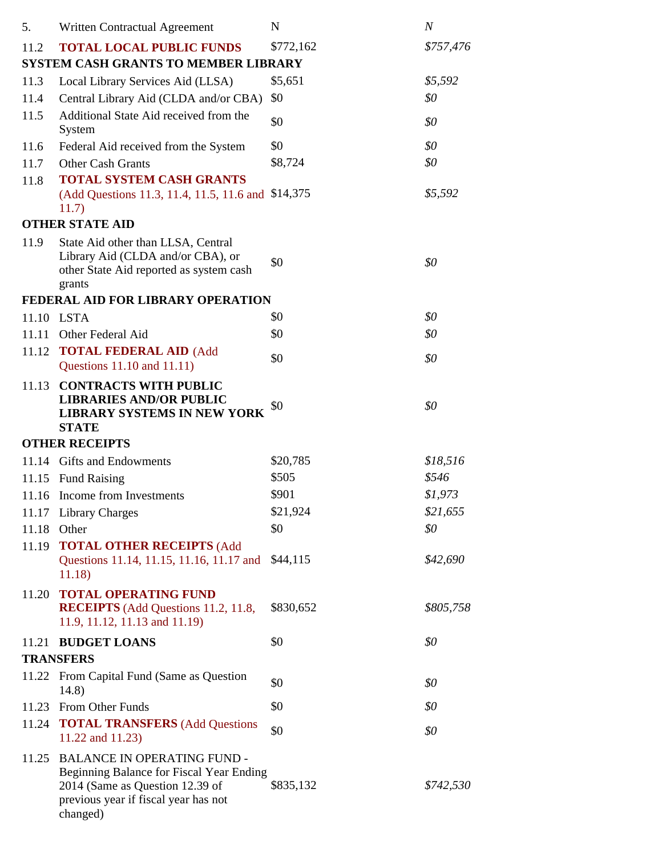| 5.    | Written Contractual Agreement                                                                                                                                         | N         | $\boldsymbol{N}$ |
|-------|-----------------------------------------------------------------------------------------------------------------------------------------------------------------------|-----------|------------------|
| 11.2  | <b>TOTAL LOCAL PUBLIC FUNDS</b>                                                                                                                                       | \$772,162 | \$757,476        |
|       | <b>SYSTEM CASH GRANTS TO MEMBER LIBRARY</b>                                                                                                                           |           |                  |
| 11.3  | Local Library Services Aid (LLSA)                                                                                                                                     | \$5,651   | \$5,592          |
| 11.4  | Central Library Aid (CLDA and/or CBA)                                                                                                                                 | \$0       | \$0              |
| 11.5  | Additional State Aid received from the<br>System                                                                                                                      | \$0       | \$0              |
| 11.6  | Federal Aid received from the System                                                                                                                                  | \$0       | \$0              |
| 11.7  | <b>Other Cash Grants</b>                                                                                                                                              | \$8,724   | \$0              |
| 11.8  | <b>TOTAL SYSTEM CASH GRANTS</b>                                                                                                                                       |           |                  |
|       | (Add Questions 11.3, 11.4, 11.5, 11.6 and \$14,375)<br>11.7)                                                                                                          |           | \$5,592          |
|       | <b>OTHER STATE AID</b>                                                                                                                                                |           |                  |
| 11.9  | State Aid other than LLSA, Central<br>Library Aid (CLDA and/or CBA), or<br>other State Aid reported as system cash<br>grants                                          | \$0       | \$0              |
|       | FEDERAL AID FOR LIBRARY OPERATION                                                                                                                                     |           |                  |
|       | 11.10 LSTA                                                                                                                                                            | \$0       | \$0              |
| 11.11 | Other Federal Aid                                                                                                                                                     | \$0       | \$0              |
| 11.12 | <b>TOTAL FEDERAL AID (Add</b>                                                                                                                                         |           |                  |
|       | Questions 11.10 and 11.11)                                                                                                                                            | \$0       | \$0              |
| 11.13 | <b>CONTRACTS WITH PUBLIC</b><br><b>LIBRARIES AND/OR PUBLIC</b><br><b>LIBRARY SYSTEMS IN NEW YORK</b><br><b>STATE</b>                                                  | \$0       | \$0              |
|       | <b>OTHER RECEIPTS</b>                                                                                                                                                 |           |                  |
|       | 11.14 Gifts and Endowments                                                                                                                                            | \$20,785  | \$18,516         |
| 11.15 | <b>Fund Raising</b>                                                                                                                                                   | \$505     | \$546            |
|       | 11.16 Income from Investments                                                                                                                                         | \$901     | \$1,973          |
|       | 11.17 Library Charges                                                                                                                                                 | \$21,924  | \$21,655         |
| 11.18 | Other                                                                                                                                                                 | \$0       | \$0              |
| 11.19 | <b>TOTAL OTHER RECEIPTS (Add</b>                                                                                                                                      |           |                  |
|       | Questions 11.14, 11.15, 11.16, 11.17 and<br>11.18)                                                                                                                    | \$44,115  | \$42,690         |
| 11.20 | <b>TOTAL OPERATING FUND</b><br><b>RECEIPTS</b> (Add Questions 11.2, 11.8,<br>11.9, 11.12, 11.13 and 11.19)                                                            | \$830,652 | \$805,758        |
|       | 11.21 BUDGET LOANS                                                                                                                                                    | \$0       | \$0              |
|       | <b>TRANSFERS</b>                                                                                                                                                      |           |                  |
|       | 11.22 From Capital Fund (Same as Question<br>14.8)                                                                                                                    | \$0       | \$0              |
| 11.23 | From Other Funds                                                                                                                                                      | \$0       | \$0              |
| 11.24 | <b>TOTAL TRANSFERS</b> (Add Questions<br>11.22 and 11.23)                                                                                                             | \$0       | \$0              |
| 11.25 | <b>BALANCE IN OPERATING FUND -</b><br>Beginning Balance for Fiscal Year Ending<br>2014 (Same as Question 12.39 of<br>previous year if fiscal year has not<br>changed) | \$835,132 | \$742,530        |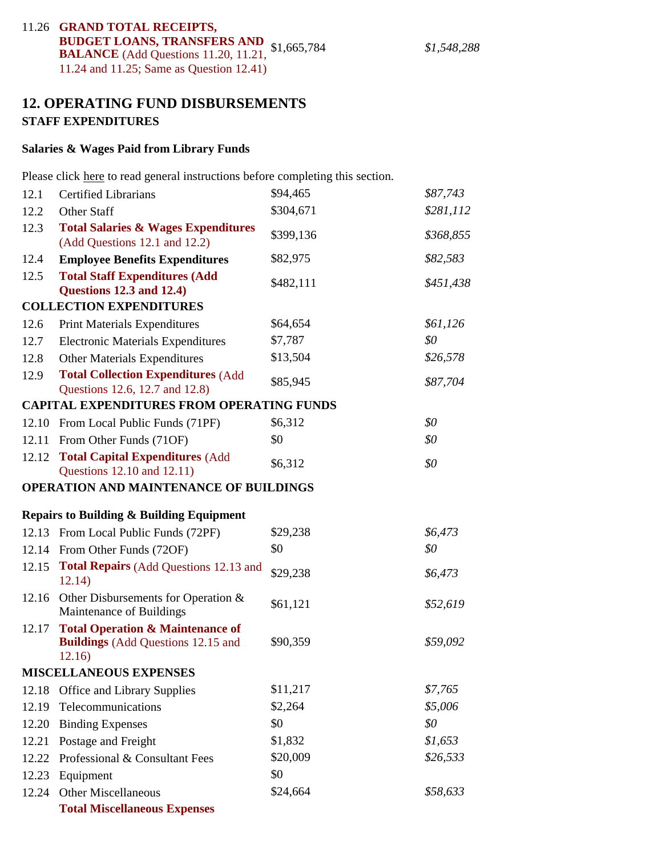# 11.26 **GRAND TOTAL RECEIPTS, BUDGET LOANS, TRANSFERS AND** \$1,665,784 \$1,548,288 **BALANCE** (Add Questions 11.20, 11.21, 11.24 and 11.25; Same as Question 12.41)

# **12. OPERATING FUND DISBURSEMENTS STAFF EXPENDITURES**

#### **Salaries & Wages Paid from Library Funds**

Please click here to read general instructions before completing this section.

| 12.1  | <b>Certified Librarians</b>                                                                        | \$94,465  | \$87,743  |
|-------|----------------------------------------------------------------------------------------------------|-----------|-----------|
| 12.2  | Other Staff                                                                                        | \$304,671 | \$281,112 |
| 12.3  | <b>Total Salaries &amp; Wages Expenditures</b><br>(Add Questions 12.1 and 12.2)                    | \$399,136 | \$368,855 |
| 12.4  | <b>Employee Benefits Expenditures</b>                                                              | \$82,975  | \$82,583  |
| 12.5  | <b>Total Staff Expenditures (Add</b><br><b>Questions 12.3 and 12.4)</b>                            | \$482,111 | \$451,438 |
|       | <b>COLLECTION EXPENDITURES</b>                                                                     |           |           |
| 12.6  | <b>Print Materials Expenditures</b>                                                                | \$64,654  | \$61,126  |
| 12.7  | <b>Electronic Materials Expenditures</b>                                                           | \$7,787   | \$0       |
| 12.8  | <b>Other Materials Expenditures</b>                                                                | \$13,504  | \$26,578  |
| 12.9  | <b>Total Collection Expenditures (Add</b><br>Questions 12.6, 12.7 and 12.8)                        | \$85,945  | \$87,704  |
|       | <b>CAPITAL EXPENDITURES FROM OPERATING FUNDS</b>                                                   |           |           |
|       | 12.10 From Local Public Funds (71PF)                                                               | \$6,312   | \$0       |
| 12.11 | From Other Funds (71OF)                                                                            | \$0       | \$0       |
| 12.12 | <b>Total Capital Expenditures (Add</b><br>Questions 12.10 and 12.11)                               | \$6,312   | \$0       |
|       | OPERATION AND MAINTENANCE OF BUILDINGS                                                             |           |           |
|       |                                                                                                    |           |           |
|       | <b>Repairs to Building &amp; Building Equipment</b>                                                |           |           |
|       | 12.13 From Local Public Funds (72PF)                                                               | \$29,238  | \$6,473   |
| 12.14 | From Other Funds (72OF)                                                                            | \$0       | \$0       |
| 12.15 | <b>Total Repairs (Add Questions 12.13 and</b><br>12.14)                                            | \$29,238  | \$6,473   |
|       | 12.16 Other Disbursements for Operation $&$<br>Maintenance of Buildings                            | \$61,121  | \$52,619  |
| 12.17 | <b>Total Operation &amp; Maintenance of</b><br><b>Buildings</b> (Add Questions 12.15 and<br>12.16) | \$90,359  | \$59,092  |
|       | <b>MISCELLANEOUS EXPENSES</b>                                                                      |           |           |
| 12.18 | Office and Library Supplies                                                                        | \$11,217  | \$7,765   |
| 12.19 | Telecommunications                                                                                 | \$2,264   | \$5,006   |
| 12.20 | <b>Binding Expenses</b>                                                                            | \$0       | \$0       |
| 12.21 | Postage and Freight                                                                                | \$1,832   | \$1,653   |
| 12.22 | Professional & Consultant Fees                                                                     | \$20,009  | \$26,533  |
| 12.23 | Equipment                                                                                          | \$0       |           |
| 12.24 | <b>Other Miscellaneous</b>                                                                         | \$24,664  | \$58,633  |
|       | <b>Total Miscellaneous Expenses</b>                                                                |           |           |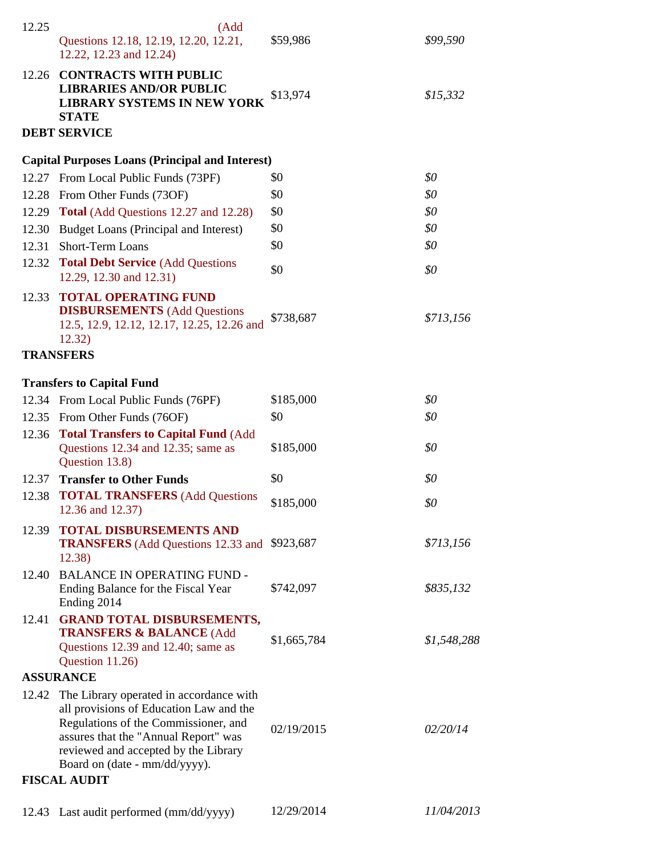| 12.25            | (Add<br>Questions 12.18, 12.19, 12.20, 12.21,<br>12.22, 12.23 and 12.24)                                                                                                                                                                          | \$59,986    | \$99,590    |  |
|------------------|---------------------------------------------------------------------------------------------------------------------------------------------------------------------------------------------------------------------------------------------------|-------------|-------------|--|
|                  | 12.26 CONTRACTS WITH PUBLIC<br><b>LIBRARIES AND/OR PUBLIC</b><br><b>LIBRARY SYSTEMS IN NEW YORK</b><br><b>STATE</b>                                                                                                                               | \$13,974    | \$15,332    |  |
|                  | <b>DEBT SERVICE</b>                                                                                                                                                                                                                               |             |             |  |
|                  | <b>Capital Purposes Loans (Principal and Interest)</b>                                                                                                                                                                                            |             |             |  |
|                  | 12.27 From Local Public Funds (73PF)                                                                                                                                                                                                              | \$0         | \$0         |  |
|                  | 12.28 From Other Funds (73OF)                                                                                                                                                                                                                     | \$0         | \$0         |  |
| 12.29            | <b>Total</b> (Add Questions 12.27 and 12.28)                                                                                                                                                                                                      | \$0         | \$0         |  |
| 12.30            | Budget Loans (Principal and Interest)                                                                                                                                                                                                             | \$0         | \$0         |  |
| 12.31            | Short-Term Loans                                                                                                                                                                                                                                  | \$0         | \$0         |  |
| 12.32            | <b>Total Debt Service (Add Questions)</b><br>12.29, 12.30 and 12.31)                                                                                                                                                                              | \$0         | \$0         |  |
|                  | 12.33 TOTAL OPERATING FUND<br><b>DISBURSEMENTS</b> (Add Questions<br>12.5, 12.9, 12.12, 12.17, 12.25, 12.26 and<br>12.32)                                                                                                                         | \$738,687   | \$713,156   |  |
|                  | <b>TRANSFERS</b>                                                                                                                                                                                                                                  |             |             |  |
|                  | <b>Transfers to Capital Fund</b>                                                                                                                                                                                                                  |             |             |  |
|                  | 12.34 From Local Public Funds (76PF)                                                                                                                                                                                                              | \$185,000   | \$0         |  |
|                  | 12.35 From Other Funds (76OF)                                                                                                                                                                                                                     | \$0         | \$0         |  |
|                  | 12.36 Total Transfers to Capital Fund (Add                                                                                                                                                                                                        |             |             |  |
|                  | Questions 12.34 and 12.35; same as<br>Question 13.8)                                                                                                                                                                                              | \$185,000   | \$0         |  |
| 12.37            | <b>Transfer to Other Funds</b>                                                                                                                                                                                                                    | \$0         | \$0         |  |
|                  | 12.38 <b>TOTAL TRANSFERS</b> (Add Questions<br>12.36 and 12.37)                                                                                                                                                                                   | \$185,000   | \$0         |  |
| 12.39            | <b>TOTAL DISBURSEMENTS AND</b><br><b>TRANSFERS</b> (Add Questions 12.33 and \$923,687<br>12.38)                                                                                                                                                   |             | \$713,156   |  |
|                  | 12.40 BALANCE IN OPERATING FUND -<br>Ending Balance for the Fiscal Year<br>Ending 2014                                                                                                                                                            | \$742,097   | \$835,132   |  |
| 12.41            | <b>GRAND TOTAL DISBURSEMENTS,</b><br><b>TRANSFERS &amp; BALANCE (Add</b><br>Questions 12.39 and 12.40; same as<br>Question 11.26)                                                                                                                 | \$1,665,784 | \$1,548,288 |  |
| <b>ASSURANCE</b> |                                                                                                                                                                                                                                                   |             |             |  |
|                  | 12.42 The Library operated in accordance with<br>all provisions of Education Law and the<br>Regulations of the Commissioner, and<br>assures that the "Annual Report" was<br>reviewed and accepted by the Library<br>Board on (date - mm/dd/yyyy). | 02/19/2015  | 02/20/14    |  |
|                  | <b>FISCAL AUDIT</b>                                                                                                                                                                                                                               |             |             |  |
|                  | 12.43 Last audit performed (mm/dd/yyyy)                                                                                                                                                                                                           | 12/29/2014  | 11/04/2013  |  |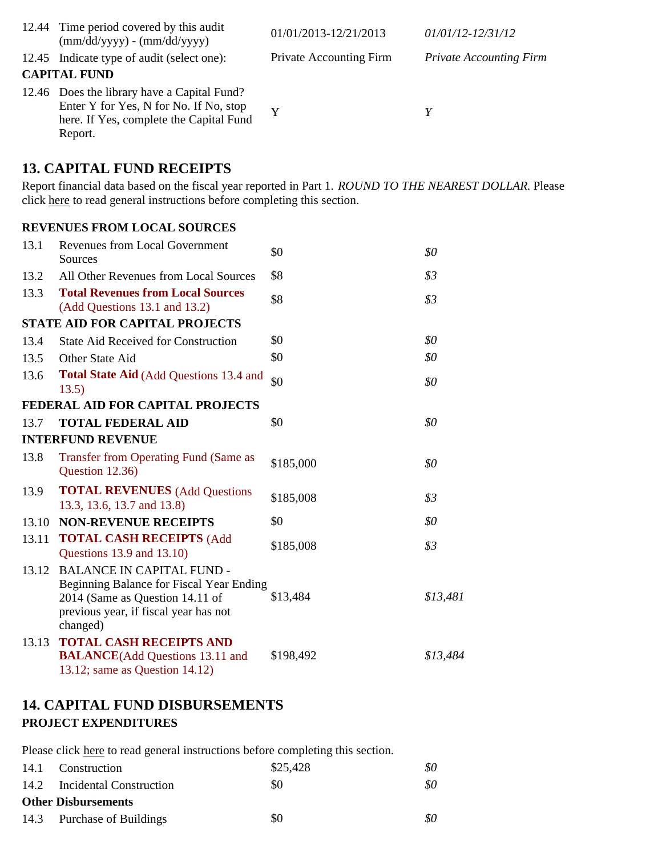| 12.44 Time period covered by this audit<br>$(mm/dd/yyyy) - (mm/dd/yyyy)$                                                                    | 01/01/2013-12/21/2013          | 01/01/12-12/31/12              |
|---------------------------------------------------------------------------------------------------------------------------------------------|--------------------------------|--------------------------------|
| 12.45 Indicate type of audit (select one):                                                                                                  | <b>Private Accounting Firm</b> | <b>Private Accounting Firm</b> |
| <b>CAPITAL FUND</b>                                                                                                                         |                                |                                |
| 12.46 Does the library have a Capital Fund?<br>Enter Y for Yes, N for No. If No, stop<br>here. If Yes, complete the Capital Fund<br>Report. | Y                              | Y                              |

## **13. CAPITAL FUND RECEIPTS**

Report financial data based on the fiscal year reported in Part 1. *ROUND TO THE NEAREST DOLLAR.* Please click here to read general instructions before completing this section.

#### **REVENUES FROM LOCAL SOURCES**

| 13.1  | <b>Revenues from Local Government</b><br>Sources                                                                                                                     | \$0       | \$0      |
|-------|----------------------------------------------------------------------------------------------------------------------------------------------------------------------|-----------|----------|
| 13.2  | All Other Revenues from Local Sources                                                                                                                                | \$8       | \$3      |
| 13.3  | <b>Total Revenues from Local Sources</b><br>(Add Questions 13.1 and 13.2)                                                                                            | \$8       | \$3      |
|       | <b>STATE AID FOR CAPITAL PROJECTS</b>                                                                                                                                |           |          |
| 13.4  | <b>State Aid Received for Construction</b>                                                                                                                           | \$0       | \$0      |
| 13.5  | Other State Aid                                                                                                                                                      | \$0       | \$0      |
| 13.6  | <b>Total State Aid (Add Questions 13.4 and</b><br>13.5)                                                                                                              | \$0       | \$0      |
|       | FEDERAL AID FOR CAPITAL PROJECTS                                                                                                                                     |           |          |
| 13.7  | <b>TOTAL FEDERAL AID</b>                                                                                                                                             | \$0       | \$0      |
|       | <b>INTERFUND REVENUE</b>                                                                                                                                             |           |          |
| 13.8  | <b>Transfer from Operating Fund (Same as</b><br>Question 12.36)                                                                                                      | \$185,000 | \$0      |
| 13.9  | <b>TOTAL REVENUES</b> (Add Questions<br>13.3, 13.6, 13.7 and 13.8)                                                                                                   | \$185,008 | \$3      |
| 13.10 | <b>NON-REVENUE RECEIPTS</b>                                                                                                                                          | \$0       | \$0      |
| 13.11 | <b>TOTAL CASH RECEIPTS (Add</b><br>Questions 13.9 and 13.10)                                                                                                         | \$185,008 | \$3      |
| 13.12 | <b>BALANCE IN CAPITAL FUND -</b><br>Beginning Balance for Fiscal Year Ending<br>2014 (Same as Question 14.11 of<br>previous year, if fiscal year has not<br>changed) | \$13,484  | \$13,481 |
| 13.13 | <b>TOTAL CASH RECEIPTS AND</b><br><b>BALANCE</b> (Add Questions 13.11 and<br>13.12; same as Question 14.12)                                                          | \$198,492 | \$13,484 |

## **14. CAPITAL FUND DISBURSEMENTS PROJECT EXPENDITURES**

Please click here to read general instructions before completing this section.

| 14.1 Construction            | \$25,428 | 80  |
|------------------------------|----------|-----|
| 14.2 Incidental Construction | \$0      | \$0 |
| <b>Other Disbursements</b>   |          |     |
| 14.3 Purchase of Buildings   | \$0      | 80  |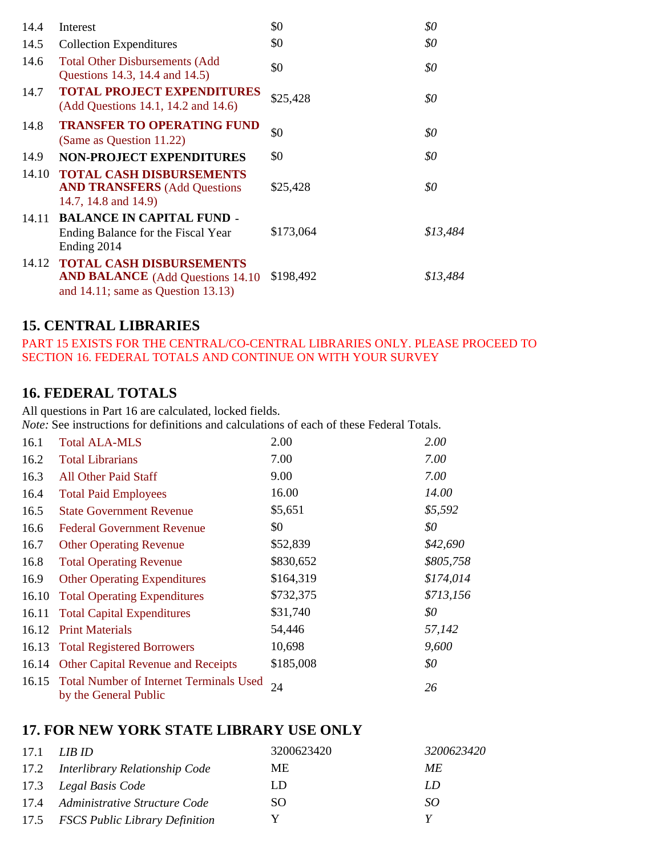| 14.4  | Interest                                                                                                               | \$0       | \$0      |
|-------|------------------------------------------------------------------------------------------------------------------------|-----------|----------|
| 14.5  | <b>Collection Expenditures</b>                                                                                         | \$0       | \$0      |
| 14.6  | <b>Total Other Disbursements (Add</b><br>Questions 14.3, 14.4 and 14.5)                                                | \$0       | \$0      |
| 14.7  | <b>TOTAL PROJECT EXPENDITURES</b><br>(Add Questions 14.1, 14.2 and 14.6)                                               | \$25,428  | \$0      |
| 14.8  | <b>TRANSFER TO OPERATING FUND</b><br>(Same as Question 11.22)                                                          | \$0       | \$0      |
| 14.9  | <b>NON-PROJECT EXPENDITURES</b>                                                                                        | \$0       | \$0      |
| 14.10 | <b>TOTAL CASH DISBURSEMENTS</b><br><b>AND TRANSFERS</b> (Add Questions<br>14.7, 14.8 and 14.9)                         | \$25,428  | \$0      |
| 14.11 | <b>BALANCE IN CAPITAL FUND -</b><br>Ending Balance for the Fiscal Year<br>Ending 2014                                  | \$173,064 | \$13,484 |
|       | 14.12 TOTAL CASH DISBURSEMENTS<br><b>AND BALANCE</b> (Add Questions 14.10)<br>and $14.11$ ; same as Question $13.13$ ) | \$198,492 | \$13,484 |

# **15. CENTRAL LIBRARIES**

PART 15 EXISTS FOR THE CENTRAL/CO-CENTRAL LIBRARIES ONLY. PLEASE PROCEED TO SECTION 16. FEDERAL TOTALS AND CONTINUE ON WITH YOUR SURVEY

# **16. FEDERAL TOTALS**

All questions in Part 16 are calculated, locked fields.

*Note:* See instructions for definitions and calculations of each of these Federal Totals.

| 16.1  | <b>Total ALA-MLS</b>                                                   | 2.00      | 2.00      |
|-------|------------------------------------------------------------------------|-----------|-----------|
| 16.2  | <b>Total Librarians</b>                                                | 7.00      | 7.00      |
| 16.3  | <b>All Other Paid Staff</b>                                            | 9.00      | 7.00      |
| 16.4  | <b>Total Paid Employees</b>                                            | 16.00     | 14.00     |
| 16.5  | <b>State Government Revenue</b>                                        | \$5,651   | \$5,592   |
| 16.6  | <b>Federal Government Revenue</b>                                      | \$0       | \$0       |
| 16.7  | <b>Other Operating Revenue</b>                                         | \$52,839  | \$42,690  |
| 16.8  | <b>Total Operating Revenue</b>                                         | \$830,652 | \$805,758 |
| 16.9  | <b>Other Operating Expenditures</b>                                    | \$164,319 | \$174,014 |
| 16.10 | <b>Total Operating Expenditures</b>                                    | \$732,375 | \$713,156 |
| 16.11 | <b>Total Capital Expenditures</b>                                      | \$31,740  | \$0       |
| 16.12 | <b>Print Materials</b>                                                 | 54,446    | 57,142    |
|       | 16.13 Total Registered Borrowers                                       | 10,698    | 9,600     |
|       | 16.14 Other Capital Revenue and Receipts                               | \$185,008 | \$0       |
|       | 16.15 Total Number of Internet Terminals Used<br>by the General Public | 24        | 26        |

# **17. FOR NEW YORK STATE LIBRARY USE ONLY**

| 17.1 | LIB ID-                             | 3200623420 | 3200623420 |
|------|-------------------------------------|------------|------------|
|      | 17.2 Interlibrary Relationship Code | ME.        | ME.        |
|      | 17.3 Legal Basis Code               | LD         | LD         |
|      | 17.4 Administrative Structure Code  | SO.        | SO.        |
|      | 17.5 FSCS Public Library Definition | v          |            |